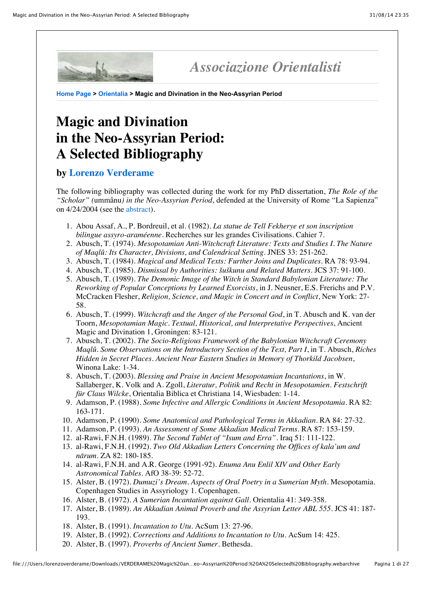

## *Associazione Orientalisti*

**[Home Page](https://web.archive.org/web/20070416225019/http://www.orientalisti.net/index.htm) > [Orientalia](https://web.archive.org/web/20070416225019/http://www.orientalisti.net/orientalia.htm) > Magic and Divination in the Neo-Assyrian Period**

## **Magic and Divination in the Neo-Assyrian Period: A Selected Bibliography**

## **by [Lorenzo Verderame](https://web.archive.org/web/20070416225019/http://www.orientalisti.net/verderame.htm)**

The following bibliography was collected during the work for my PhD dissertation, *The Role of the "Scholar" (*ummânu*) in the Neo-Assyrian Period*, defended at the University of Rome "La Sapienza" on 4/24/2004 (see the [abstract](https://web.archive.org/web/20070416225019/http://www.let.leidenuniv.nl/rencontre/PhD_research.html#anchor24980)).

- 1. Abou Assaf, A., P. Bordreuil, et al. (1982). *La statue de Tell Fekherye et son inscription bilingue assyro-araméenne*. Recherches sur les grandes Civilisations. Cahier 7.
- 2. Abusch, T. (1974). *Mesopotamian Anti-Witchcraft Literature: Texts and Studies I. The Nature of Maqlû: Its Character, Divisions, and Calendrical Setting*. JNES 33: 251-262.
- 3. Abusch, T. (1984). *Magical and Medical Texts: Further Joins and Duplicates*. RA 78: 93-94.
- 4. Abusch, T. (1985). *Dismissal by Authorities: šuškunu and Related Matters*. JCS 37: 91-100.
- 5. Abusch, T. (1989). *The Demonic Image of the Witch in Standard Babylonian Literature: The Reworking of Popular Conceptions by Learned Exorcists*, in J. Neusner, E.S. Frerichs and P.V. McCracken Flesher, *Religion, Science, and Magic in Concert and in Conflict*, New York: 27- 58.
- 6. Abusch, T. (1999). *Witchcraft and the Anger of the Personal God*, in T. Abusch and K. van der Toorn, *Mesopotamian Magic. Textual, Historical, and Interpretative Perspectives*, Ancient Magic and Divination 1, Groningen: 83-121.
- 7. Abusch, T. (2002). *The Socio-Religious Framework of the Babylonian Witchcraft Ceremony Maqlû. Some Observations on the Introductory Section of the Text, Part I*, in T. Abusch, *Riches Hidden in Secret Places. Ancient Near Eastern Studies in Memory of Thorkild Jacobsen*, Winona Lake: 1-34.
- 8. Abusch, T. (2003). *Blessing and Praise in Ancient Mesopotamian Incantations*, in W. Sallaberger, K. Volk and A. Zgoll, *Literatur, Politik und Recht in Mesopotamien. Festschrift für Claus Wilcke*, Orientalia Biblica et Christiana 14, Wiesbaden: 1-14.
- 9. Adamson, P. (1988). *Some Infective and Allergic Conditions in Ancient Mesopotamia*. RA 82: 163-171.
- 10. Adamson, P. (1990). *Some Anatomical and Pathological Terms in Akkadian*. RA 84: 27-32.
- 11. Adamson, P. (1993). *An Assessment of Some Akkadian Medical Terms*. RA 87: 153-159.
- 12. al-Rawi, F.N.H. (1989). *The Second Tablet of "Isum and Erra"*. Iraq 51: 111-122.
- 13. al-Rawi, F.N.H. (1992). *Two Old Akkadian Letters Concerning the Offices of kala'um and nārum*. ZA 82: 180-185.
- 14. al-Rawi, F.N.H. and A.R. George (1991-92). *Enuma Anu Enlil XIV and Other Early Astronomical Tables*. AfO 38-39: 52-72.
- 15. Alster, B. (1972). *Dumuzi's Dream. Aspects of Oral Poetry in a Sumerian Myth*. Mesopotamia. Copenhagen Studies in Assyriology 1. Copenhagen.
- 16. Alster, B. (1972). *A Sumerian Incantation against Gall*. Orientalia 41: 349-358.
- 17. Alster, B. (1989). *An Akkadian Animal Proverb and the Assyrian Letter ABL 555*. JCS 41: 187- 193.
- 18. Alster, B. (1991). *Incantation to Utu*. AcSum 13: 27-96.
- 19. Alster, B. (1992). *Corrections and Additions to Incantation to Utu*. AcSum 14: 425.
- 20. Alster, B. (1997). *Proverbs of Ancient Sumer*. Bethesda.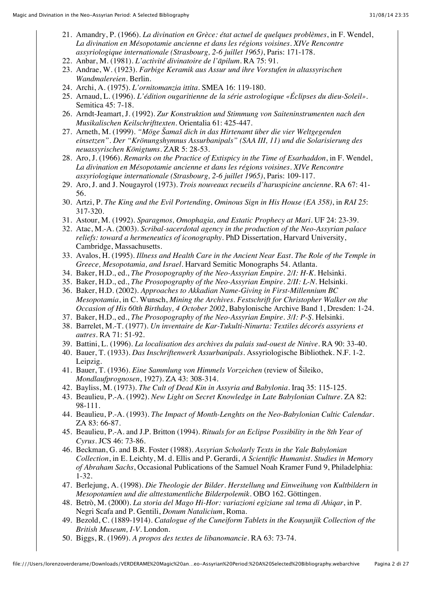- 21. Amandry, P. (1966). *La divination en Grèce: état actuel de quelques problèmes*, in F. Wendel, *La divination en Mésopotamie ancienne et dans les régions voisines. XIVe Rencontre assyriologique internationale (Strasbourg, 2-6 juillet 1965)*, Paris: 171-178.
- 22. Anbar, M. (1981). *L'activité divinatoire de l'āpilum*. RA 75: 91.
- 23. Andrae, W. (1923). *Farbige Keramik aus Assur und ihre Vorstufen in altassyrischen Wandmalereien*. Berlin.
- 24. Archi, A. (1975). *L'ornitomanzia ittita*. SMEA 16: 119-180.
- 25. Arnaud, L. (1996). *L'édition ougaritienne de la série astrologique «Éclipses du dieu-Soleil»*. Semitica 45: 7-18.
- 26. Arndt-Jeamart, J. (1992). *Zur Konstruktion und Stimmung von Saiteninstrumenten nach den Musikalischen Keilschrifttexten*. Orientalia 61: 425-447.
- 27. Arneth, M. (1999). *"Möge Šamaš dich in das Hirtenamt über die vier Weltgegenden einsetzen". Der "Krönungshymnus Assurbanipals" (SAA III, 11) und die Solarisierung des neuassyrischen Königtums*. ZAR 5: 28-53.
- 28. Aro, J. (1966). *Remarks on the Practice of Extispicy in the Time of Esarhaddon*, in F. Wendel, *La divination en Mésopotamie ancienne et dans les régions voisines. XIVe Rencontre assyriologique internationale (Strasbourg, 2-6 juillet 1965)*, Paris: 109-117.
- 29. Aro, J. and J. Nougayrol (1973). *Trois nouveaux recueils d'haruspicine ancienne*. RA 67: 41- 56.
- 30. Artzi, P. *The King and the Evil Portending, Ominous Sign in His House (EA 358)*, in *RAI 25*: 317-320.
- 31. Astour, M. (1992). *Sparagmos, Omophagia, and Estatic Prophecy at Mari*. UF 24: 23-39.
- 32. Atac, M.-A. (2003). *Scribal-sacerdotal agency in the production of the Neo-Assyrian palace reliefs: toward a hermeneutics of iconography*. PhD Dissertation, Harvard University, Cambridge, Massachusetts.
- 33. Avalos, H. (1995). *Illness and Health Care in the Ancient Near East. The Role of the Temple in Greece, Mesopotamia, and Israel*. Harvard Semitic Monographs 54. Atlanta.
- 34. Baker, H.D., ed., *The Prosopography of the Neo-Assyrian Empire. 2/I: H-K*. Helsinki.
- 35. Baker, H.D., ed., *The Prosopography of the Neo-Assyrian Empire. 2/II: L-N*. Helsinki.
- 36. Baker, H.D. (2002). *Approaches to Akkadian Name-Giving in First-Millennium BC Mesopotamia*, in C. Wunsch, *Mining the Archives. Festschrift for Christopher Walker on the Occasion of His 60th Birthday, 4 October 2002*, Babylonische Archive Band 1, Dresden: 1-24.
- 37. Baker, H.D., ed., *The Prosopography of the Neo-Assyrian Empire. 3/I: P-Ṣ.* Helsinki.
- 38. Barrelet, M.-T. (1977). *Un inventaire de Kar-Tukulti-Ninurta: Textiles décorés assyriens et autres*. RA 71: 51-92.
- 39. Battini, L. (1996). *La localisation des archives du palais sud-ouest de Ninive*. RA 90: 33-40.
- 40. Bauer, T. (1933). *Das Inschriftenwerk Assurbanipals*. Assyriologische Bibliothek. N.F. 1-2. Leipzig.
- 41. Bauer, T. (1936). *Eine Sammlung von Himmels Vorzeichen* (review of Šileiko, *Mondlaufprognosen*, 1927). ZA 43: 308-314.
- 42. Bayliss, M. (1973). *The Cult of Dead Kin in Assyria and Babylonia*. Iraq 35: 115-125.
- 43. Beaulieu, P.-A. (1992). *New Light on Secret Knowledge in Late Babylonian Culture*. ZA 82: 98-111.
- 44. Beaulieu, P.-A. (1993). *The Impact of Month-Lenghts on the Neo-Babylonian Cultic Calendar*. ZA 83: 66-87.
- 45. Beaulieu, P.-A. and J.P. Britton (1994). *Rituals for an Eclipse Possibility in the 8th Year of Cyrus*. JCS 46: 73-86.
- 46. Beckman, G. and B.R. Foster (1988). *Assyrian Scholarly Texts in the Yale Babylonian Collection*, in E. Leichty, M. d. Ellis and P. Gerardi, *A Scientific Humanist. Studies in Memory of Abraham Sachs*, Occasional Publications of the Samuel Noah Kramer Fund 9, Philadelphia: 1-32.
- 47. Berlejung, A. (1998). *Die Theologie der Bilder. Herstellung und Einweihung von Kultbildern in Mesopotamien und die alttestamentliche Bilderpolemik*. OBO 162. Göttingen.
- 48. Betrò, M. (2000). *La storia del Mago Hi-Hor: variazioni egiziane sul tema di Ahiqar*, in P. Negri Scafa and P. Gentili, *Donum Natalicium*, Roma.
- 49. Bezold, C. (1889-1914). *Catalogue of the Cuneiform Tablets in the Kouyunjik Collection of the British Museum, I-V*. London.
- 50. Biggs, R. (1969). *A propos des textes de libanomancie*. RA 63: 73-74.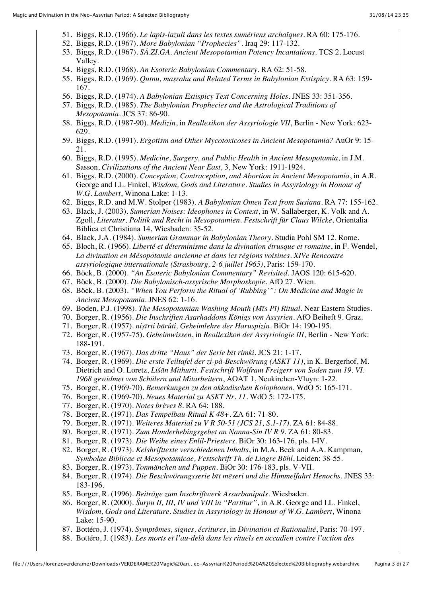- 51. Biggs, R.D. (1966). *Le lapis-lazuli dans les textes sumériens archaïques*. RA 60: 175-176.
- 52. Biggs, R.D. (1967). *More Babylonian "Prophecies"*. Iraq 29: 117-132.
- 53. Biggs, R.D. (1967). *SÀ.ZI.GA. Ancient Mesopotamian Potency Incantations*. TCS 2. Locust Valley.
- 54. Biggs, R.D. (1968). *An Esoteric Babylonian Commentary*. RA 62: 51-58.
- 55. Biggs, R.D. (1969). *Qutnu, maṣrahu and Related Terms in Babylonian Extispicy*. RA 63: 159- 167.
- 56. Biggs, R.D. (1974). *A Babylonian Extispicy Text Concerning Holes*. JNES 33: 351-356.
- 57. Biggs, R.D. (1985). *The Babylonian Prophecies and the Astrological Traditions of Mesopotamia*. JCS 37: 86-90.
- 58. Biggs, R.D. (1987-90). *Medizin*, in *Reallexikon der Assyriologie VII*, Berlin New York: 623- 629.
- 59. Biggs, R.D. (1991). *Ergotism and Other Mycotoxicoses in Ancient Mesopotamia?* AuOr 9: 15- 21.
- 60. Biggs, R.D. (1995). *Medicine, Surgery, and Public Health in Ancient Mesopotamia*, in J.M. Sasson, *Civilizations of the Ancient Near East*, 3, New York: 1911-1924.
- 61. Biggs, R.D. (2000). *Conception, Contraception, and Abortion in Ancient Mesopotamia*, in A.R. George and I.L. Finkel, *Wisdom, Gods and Literature. Studies in Assyriology in Honour of W.G. Lambert*, Winona Lake: 1-13.
- 62. Biggs, R.D. and M.W. Stolper (1983). *A Babylonian Omen Text from Susiana*. RA 77: 155-162.
- 63. Black, J. (2003). *Sumerian Noises: Ideophones in Context*, in W. Sallaberger, K. Volk and A. Zgoll, *Literatur, Politik und Recht in Mesopotamien. Festschrift für Claus Wilcke*, Orientalia Biblica et Christiana 14, Wiesbaden: 35-52.
- 64. Black, J.A. (1984). *Sumerian Grammar in Babylonian Theory*. Studia Pohl SM 12. Rome.
- 65. Bloch, R. (1966). *Liberté et déterminisme dans la divination étrusque et romaine*, in F. Wendel, *La divination en Mésopotamie ancienne et dans les régions voisines. XIVe Rencontre assyriologique internationale (Strasbourg, 2-6 juillet 1965)*, Paris: 159-170.
- 66. Böck, B. (2000). *"An Esoteric Babylonian Commentary" Revisited*. JAOS 120: 615-620.
- 67. Böck, B. (2000). *Die Babylonisch-assyrische Morphoskopie*. AfO 27. Wien.
- 68. Böck, B. (2003). *"When You Perform the Ritual of 'Rubbing'": On Medicine and Magic in Ancient Mesopotamia*. JNES 62: 1-16.
- 69. Boden, P.J. (1998). *The Mesopotamian Washing Mouth (Mīs Pî) Ritual*. Near Eastern Studies.
- 70. Borger, R. (1956). *Die Inschriften Asarhaddons Königs von Assyrien*. AfO Beiheft 9. Graz.
- 71. Borger, R. (1957). *niṣīrti bārûti, Geheimlehre der Haruspizin*. BiOr 14: 190-195.
- 72. Borger, R. (1957-75). *Geheimwissen*, in *Reallexikon der Assyriologie III*, Berlin New York: 188-191.
- 73. Borger, R. (1967). *Das dritte "Haus" der Serie bīt rimki*. JCS 21: 1-17.
- 74. Borger, R. (1969). *Die erste Teiltafel der zi-pà-Beschwörung (ASKT 11)*, in K. Bergerhof, M. Dietrich and O. Loretz, *Lišān Mithurti. Festschrift Wolfram Freigerr von Soden zum 19. VI. 1968 gewidmet von Schülern und Mitarbeitern*, AOAT 1, Neukirchen-Vluyn: 1-22.
- 75. Borger, R. (1969-70). *Bemerkungen zu den akkadischen Kolophonen*. WdO 5: 165-171.
- 76. Borger, R. (1969-70). *Neues Material zu ASKT Nr. 11*. WdO 5: 172-175.
- 77. Borger, R. (1970). *Notes brèves 8*. RA 64: 188.
- 78. Borger, R. (1971). *Das Tempelbau-Ritual K 48+*. ZA 61: 71-80.
- 79. Borger, R. (1971). *Weiteres Material zu V R 50-51 (JCS 21, S.1-17)*. ZA 61: 84-88.
- 80. Borger, R. (1971). *Zum Handerhebingsgebet an Nanna-Sin IV R 9*. ZA 61: 80-83.
- 81. Borger, R. (1973). *Die Weihe eines Enlil-Priesters*. BiOr 30: 163-176, pls. I-IV.
- 82. Borger, R. (1973). *Kelshrifttexte verschiedenen Inhalts*, in M.A. Beek and A.A. Kampman, *Symbolae Biblicae et Mesopotamicae, Festschrift Th. de Liagre Böhl*, Leiden: 38-55.
- 83. Borger, R. (1973). *Tonmänchen und Puppen*. BiOr 30: 176-183, pls. V-VII.
- 84. Borger, R. (1974). *Die Beschwörungsserie bīt mēseri und die Himmelfahrt Henochs*. JNES 33: 183-196.
- 85. Borger, R. (1996). *Beiträge zum Inschriftwerk Assurbanipals*. Wiesbaden.
- 86. Borger, R. (2000). *Šurpu II, III, IV und VIII in "Partitur"*, in A.R. George and I.L. Finkel, *Wisdom, Gods and Literature. Studies in Assyriology in Honour of W.G. Lambert*, Winona Lake: 15-90.
- 87. Bottéro, J. (1974). *Symptômes, signes, écritures*, in *Divination et Rationalité*, Paris: 70-197.
- 88. Bottéro, J. (1983). *Les morts et l'au-delà dans les rituels en accadien contre l'action des*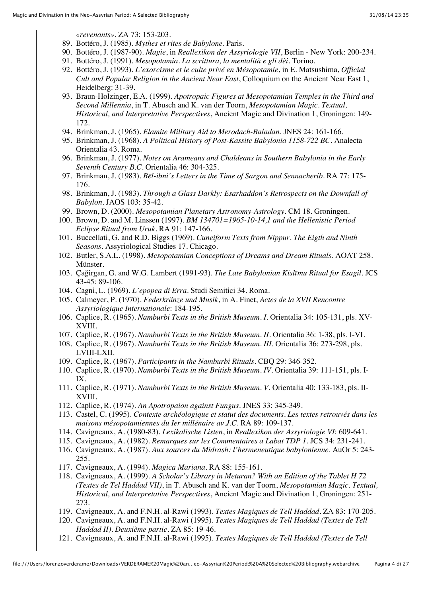*«revenants»*. ZA 73: 153-203.

- 89. Bottéro, J. (1985). *Mythes et rites de Babylone*. Paris.
- 90. Bottéro, J. (1987-90). *Magie*, in *Reallexikon der Assyriologie VII*, Berlin New York: 200-234.
- 91. Bottéro, J. (1991). *Mesopotamia. La scrittura, la mentalità e gli dèi*. Torino.
- 92. Bottéro, J. (1993). *L'exorcisme et le culte privé en Mésopotamie*, in E. Matsushima, *Official Cult and Popular Religion in the Ancient Near East*, Colloquium on the Ancient Near East 1, Heidelberg: 31-39.
- 93. Braun-Holzinger, E.A. (1999). *Apotropaic Figures at Mesopotamian Temples in the Third and Second Millennia*, in T. Abusch and K. van der Toorn, *Mesopotamian Magic. Textual, Historical, and Interpretative Perspectives*, Ancient Magic and Divination 1, Groningen: 149- 172.
- 94. Brinkman, J. (1965). *Elamite Military Aid to Merodach-Baladan*. JNES 24: 161-166.
- 95. Brinkman, J. (1968). *A Political History of Post-Kassite Babylonia 1158-722 BC*. Analecta Orientalia 43. Roma.
- 96. Brinkman, J. (1977). *Notes on Arameans and Chaldeans in Southern Babylonia in the Early Seventh Century B.C.* Orientalia 46: 304-325.
- 97. Brinkman, J. (1983). *Bēl-ibni's Letters in the Time of Sargon and Sennacherib*. RA 77: 175- 176.
- 98. Brinkman, J. (1983). *Through a Glass Darkly: Esarhaddon's Retrospects on the Downfall of Babylon*. JAOS 103: 35-42.
- 99. Brown, D. (2000). *Mesopotamian Planetary Astronomy-Astrology*. CM 18. Groningen.
- 100. Brown, D. and M. Linssen (1997). *BM 134701=1965-10-14,1 and the Hellenistic Period Eclipse Ritual from Uruk*. RA 91: 147-166.
- 101. Buccellati, G. and R.D. Biggs (1969). *Cuneiform Texts from Nippur. The Eigth and Ninth Seasons*. Assyriological Studies 17. Chicago.
- 102. Butler, S.A.L. (1998). *Mesopotamian Conceptions of Dreams and Dream Rituals*. AOAT 258. Münster.
- 103. Çaǧirgan, G. and W.G. Lambert (1991-93). *The Late Babylonian Kislīmu Ritual for Esagil*. JCS 43-45: 89-106.
- 104. Cagni, L. (1969). *L'epopea di Erra*. Studi Semitici 34. Roma.
- 105. Calmeyer, P. (1970). *Federkränze und Musik*, in A. Finet, *Actes de la XVII Rencontre Assyriologique Internationale*: 184-195.
- 106. Caplice, R. (1965). *Namburbi Texts in the British Museum. I*. Orientalia 34: 105-131, pls. XV-XVIII.
- 107. Caplice, R. (1967). *Namburbi Texts in the British Museum. II*. Orientalia 36: 1-38, pls. I-VI.
- 108. Caplice, R. (1967). *Namburbi Texts in the British Museum. III*. Orientalia 36: 273-298, pls. LVIII-LXII.
- 109. Caplice, R. (1967). *Participants in the Namburbi Rituals*. CBQ 29: 346-352.
- 110. Caplice, R. (1970). *Namburbi Texts in the British Museum. IV*. Orientalia 39: 111-151, pls. I-IX.
- 111. Caplice, R. (1971). *Namburbi Texts in the British Museum. V*. Orientalia 40: 133-183, pls. II-XVIII.
- 112. Caplice, R. (1974). *An Apotropaion against Fungus*. JNES 33: 345-349.
- 113. Castel, C. (1995). *Contexte archéologique et statut des documents. Les textes retrouvés dans les maisons mésopotamiennes du Ier millénaire av.J.C.* RA 89: 109-137.
- 114. Cavigneaux, A. (1980-83). *Lexikalische Listen*, in *Reallexikon der Assyriologie VI*: 609-641.
- 115. Cavigneaux, A. (1982). *Remarques sur les Commentaires a Labat TDP 1*. JCS 34: 231-241.
- 116. Cavigneaux, A. (1987). *Aux sources du Midrash: l'hermeneutique babylonienne*. AuOr 5: 243- 255.
- 117. Cavigneaux, A. (1994). *Magica Mariana*. RA 88: 155-161.
- 118. Cavigneaux, A. (1999). *A Scholar's Library in Meturan? With an Edition of the Tablet H 72 (Textes de Tel Haddad VII)*, in T. Abusch and K. van der Toorn, *Mesopotamian Magic. Textual, Historical, and Interpretative Perspectives*, Ancient Magic and Divination 1, Groningen: 251- 273.
- 119. Cavigneaux, A. and F.N.H. al-Rawi (1993). *Textes Magiques de Tell Haddad*. ZA 83: 170-205.
- 120. Cavigneaux, A. and F.N.H. al-Rawi (1995). *Textes Magiques de Tell Haddad (Textes de Tell Haddad II). Deuxième partie*. ZA 85: 19-46.
- 121. Cavigneaux, A. and F.N.H. al-Rawi (1995). *Textes Magiques de Tell Haddad (Textes de Tell*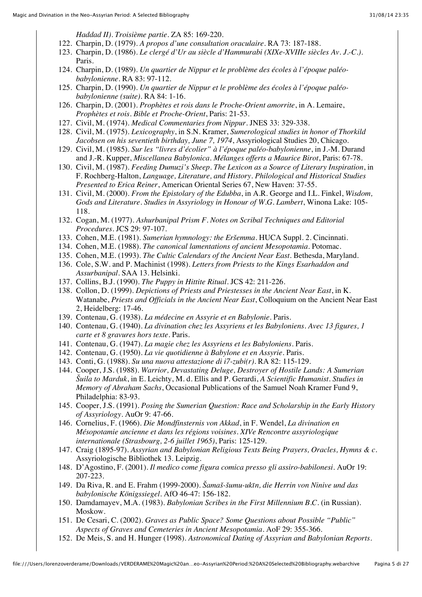*Haddad II). Troisième partie*. ZA 85: 169-220.

- 122. Charpin, D. (1979). *A propos d'une consultation oraculaire*. RA 73: 187-188.
- 123. Charpin, D. (1986). *Le clergé d'Ur au siècle d'Hammurabi (XIXe-XVIIIe siècles Av. J.-C.)*. Paris.
- 124. Charpin, D. (1989). *Un quartier de Nippur et le problème des écoles à l'époque paléobabylonienne*. RA 83: 97-112.
- 125. Charpin, D. (1990). *Un quartier de Nippur et le problème des écoles à l'époque paléobabylonienne (suite)*. RA 84: 1-16.
- 126. Charpin, D. (2001). *Prophètes et rois dans le Proche-Orient amorrite*, in A. Lemaire, *Prophètes et rois. Bible et Proche-Orient*, Paris: 21-53.
- 127. Civil, M. (1974). *Medical Commentaries from Nippur*. JNES 33: 329-338.
- 128. Civil, M. (1975). *Lexicography*, in S.N. Kramer, *Sumerological studies in honor of Thorkild Jacobsen on his seventieth birthday, June 7, 1974*, Assyriological Studies 20, Chicago.
- 129. Civil, M. (1985). *Sur les "livres d'écolier" à l'époque paléo-babylonienne*, in J.-M. Durand and J.-R. Kupper, *Miscellanea Babylonica. Mélanges offerts a Maurice Birot*, Paris: 67-78.
- 130. Civil, M. (1987). *Feeding Dumuzi's Sheep. The Lexicon as a Source of Literary Inspiration*, in F. Rochberg-Halton, *Language, Literature, and History. Philological and Historical Studies Presented to Erica Reiner*, American Oriental Series 67, New Haven: 37-55.
- 131. Civil, M. (2000). *From the Epistolary of the Edubba*, in A.R. George and I.L. Finkel, *Wisdom, Gods and Literature. Studies in Assyriology in Honour of W.G. Lambert*, Winona Lake: 105- 118.
- 132. Cogan, M. (1977). *Ashurbanipal Prism F. Notes on Scribal Techniques and Editorial Procedures*. JCS 29: 97-107.
- 133. Cohen, M.E. (1981). *Sumerian hymnology: the Eršemma*. HUCA Suppl. 2. Cincinnati.
- 134. Cohen, M.E. (1988). *The canonical lamentations of ancient Mesopotamia*. Potomac.
- 135. Cohen, M.E. (1993). *The Cultic Calendars of the Ancient Near East*. Bethesda, Maryland.
- 136. Cole, S.W. and P. Machinist (1998). *Letters from Priests to the Kings Esarhaddon and Assurbanipal*. SAA 13. Helsinki.
- 137. Collins, B.J. (1990). *The Puppy in Hittite Ritual*. JCS 42: 211-226.
- 138. Collon, D. (1999). *Depictions of Priests and Priestesses in the Ancient Near East*, in K. Watanabe, *Priests and Officials in the Ancient Near East*, Colloquium on the Ancient Near East 2, Heidelberg: 17-46.
- 139. Contenau, G. (1938). *La médecine en Assyrie et en Babylonie*. Paris.
- 140. Contenau, G. (1940). *La divination chez les Assyriens et les Babyloniens. Avec 13 figures, 1 carte et 8 gravures hors texte*. Paris.
- 141. Contenau, G. (1947). *La magie chez les Assyriens et les Babyloniens*. Paris.
- 142. Contenau, G. (1950). *La vie quotidienne à Babylone et en Assyrie*. Paris.
- 143. Conti, G. (1988). *Su una nuova attestazione di i7-zubi(r)*. RA 82: 115-129.
- 144. Cooper, J.S. (1988). *Warrior, Devastating Deluge, Destroyer of Hostile Lands: A Sumerian Šuila to Marduk*, in E. Leichty, M. d. Ellis and P. Gerardi, *A Scientific Humanist. Studies in Memory of Abraham Sachs*, Occasional Publications of the Samuel Noah Kramer Fund 9, Philadelphia: 83-93.
- 145. Cooper, J.S. (1991). *Posing the Sumerian Question: Race and Scholarship in the Early History of Assyriology*. AuOr 9: 47-66.
- 146. Cornelius, F. (1966). *Die Mondfinsternis von Akkad*, in F. Wendel, *La divination en Mésopotamie ancienne et dans les régions voisines. XIVe Rencontre assyriologique internationale (Strasbourg, 2-6 juillet 1965)*, Paris: 125-129.
- 147. Craig (1895-97). *Assyrian and Babylonian Religious Texts Being Prayers, Oracles, Hymns & c.* Assyriologische Bibliothek 13. Leipzig.
- 148. D'Agostino, F. (2001). *Il medico come figura comica presso gli assiro-babilonesi*. AuOr 19: 207-223.
- 149. Da Riva, R. and E. Frahm (1999-2000). *Šamaš-šumu-ukīn, die Herrin von Ninive und das babylonische Königssiegel*. AfO 46-47: 156-182.
- 150. Damdamayev, M.A. (1983). *Babylonian Scribes in the First Millennium B.C.* (in Russian). Moskow.
- 151. De Cesari, C. (2002). *Graves as Public Space? Some Questions about Possible "Public" Aspects of Graves and Cemeteries in Ancient Mesopotamia*. AoF 29: 355-366.
- 152. De Meis, S. and H. Hunger (1998). *Astronomical Dating of Assyrian and Babylonian Reports*.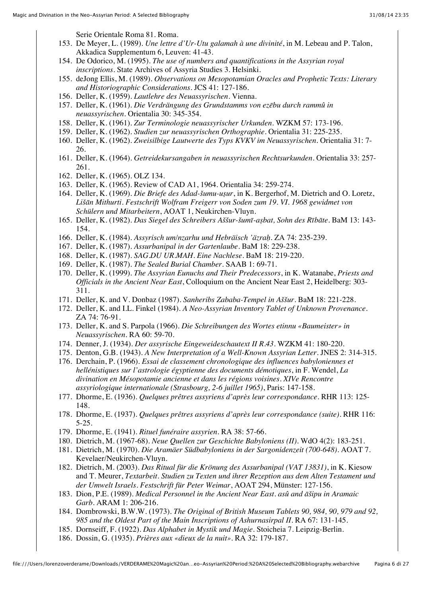Serie Orientale Roma 81. Roma.

- 153. De Meyer, L. (1989). *Une lettre d'Ur-Utu galamah à une divinité*, in M. Lebeau and P. Talon, Akkadica Supplementum 6, Leuven: 41-43.
- 154. De Odorico, M. (1995). *The use of numbers and quantifications in the Assyrian royal inscriptions*. State Archives of Assyria Studies 3. Helsinki.
- 155. deJong Ellis, M. (1989). *Observations on Mesopotamian Oracles and Prophetic Texts: Literary and Historiographic Considerations*. JCS 41: 127-186.
- 156. Deller, K. (1959). *Lautlehre des Neuassyrischen*. Vienna.
- 157. Deller, K. (1961). *Die Verdrängung des Grundstamms von ezēbu durch rammû in neuassyrischen*. Orientalia 30: 345-354.
- 158. Deller, K. (1961). *Zur Terminologie neuassyrischer Urkunden*. WZKM 57: 173-196.
- 159. Deller, K. (1962). *Studien zur neuassyrischen Orthographie*. Orientalia 31: 225-235.
- 160. Deller, K. (1962). *Zweisilbige Lautwerte des Typs KVKV im Neuassyrischen*. Orientalia 31: 7- 26.
- 161. Deller, K. (1964). *Getreidekursangaben in neuassyrischen Rechtsurkunden*. Orientalia 33: 257- 261.
- 162. Deller, K. (1965). OLZ 134.
- 163. Deller, K. (1965). Review of CAD A1, 1964. Orientalia 34: 259-274.
- 164. Deller, K. (1969). *Die Briefe des Adad-šumu-uṣur*, in K. Bergerhof, M. Dietrich and O. Loretz, *Lišān Mithurti. Festschrift Wolfram Freigerr von Soden zum 19. VI. 1968 gewidmet von Schülern und Mitarbeitern*, AOAT 1, Neukirchen-Vluyn.
- 165. Deller, K. (1982). *Das Siegel des Schreibers Aššur-šumī-aṣbat, Sohn des Rībāte*. BaM 13: 143- 154.
- 166. Deller, K. (1984). *Assyrisch um/nzarhu und Hebräisch 'äzraḥ*. ZA 74: 235-239.
- 167. Deller, K. (1987). *Assurbanipal in der Gartenlaube*. BaM 18: 229-238.
- 168. Deller, K. (1987). *SAG.DU UR.MAH. Eine Nachlese*. BaM 18: 219-220.
- 169. Deller, K. (1987). *The Sealed Burial Chamber*. SAAB 1: 69-71.
- 170. Deller, K. (1999). *The Assyrian Eunuchs and Their Predecessors*, in K. Watanabe, *Priests and Officials in the Ancient Near East*, Colloquium on the Ancient Near East 2, Heidelberg: 303- 311.
- 171. Deller, K. and V. Donbaz (1987). *Sanheribs Zababa-Tempel in Aššur*. BaM 18: 221-228.
- 172. Deller, K. and I.L. Finkel (1984). *A Neo-Assyrian Inventory Tablet of Unknown Provenance*. ZA 74: 76-91.
- 173. Deller, K. and S. Parpola (1966). *Die Schreibungen des Wortes etinnu «Baumeister» in Neuassyrischen*. RA 60: 59-70.
- 174. Denner, J. (1934). *Der assyrische Eingeweideschautext II R.43*. WZKM 41: 180-220.
- 175. Denton, G.B. (1943). *A New Interpretation of a Well-Known Assyrian Letter*. JNES 2: 314-315.
- 176. Derchain, P. (1966). *Essai de classement chronologique des influences babyloniennes et hellénistiques sur l'astrologie égyptienne des documents démotiques*, in F. Wendel, *La divination en Mésopotamie ancienne et dans les régions voisines. XIVe Rencontre assyriologique internationale (Strasbourg, 2-6 juillet 1965)*, Paris: 147-158.
- 177. Dhorme, E. (1936). *Quelques prêtres assyriens d'après leur correspondance*. RHR 113: 125- 148.
- 178. Dhorme, E. (1937). *Quelques prêtres assyriens d'après leur correspondance (suite)*. RHR 116: 5-25.
- 179. Dhorme, E. (1941). *Rituel funéraire assyrien*. RA 38: 57-66.
- 180. Dietrich, M. (1967-68). *Neue Quellen zur Geschichte Babyloniens (II)*. WdO 4(2): 183-251.
- 181. Dietrich, M. (1970). *Die Aramäer Südbabyloniens in der Sargonidenzeit (700-648)*. AOAT 7. Kevelaer/Neukirchen-Vluyn.
- 182. Dietrich, M. (2003). *Das Ritual für die Krönung des Assurbanipal (VAT 13831)*, in K. Kiesow and T. Meurer, *Textarbeit. Studien zu Texten und ihrer Rezeption aus dem Alten Testament und der Umwelt Israels. Festschrift für Peter Weimar*, AOAT 294, Münster: 127-156.
- 183. Dion, P.E. (1989). *Medical Personnel in the Ancient Near East. asû and āšipu in Aramaic Garb*. ARAM 1: 206-216.
- 184. Dombrowski, B.W.W. (1973). *The Original of British Museum Tablets 90, 984, 90, 979 and 92, 985 and the Oldest Part of the Main Inscriptions of Ashurnasirpal II*. RA 67: 131-145.
- 185. Dornseiff, F. (1922). *Das Alphabet in Mystik und Magie*. Stoicheia 7. Leipzig-Berlin.
- 186. Dossin, G. (1935). *Prières aux «dieux de la nuit»*. RA 32: 179-187.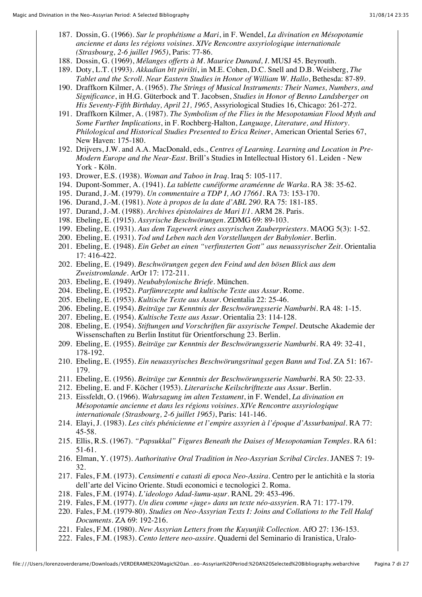- 187. Dossin, G. (1966). *Sur le prophétisme a Mari*, in F. Wendel, *La divination en Mésopotamie ancienne et dans les régions voisines. XIVe Rencontre assyriologique internationale (Strasbourg, 2-6 juillet 1965)*, Paris: 77-86.
- 188. Dossin, G. (1969), *Mélanges offerts à M. Maurice Dunand, I*. MUSJ 45. Beyrouth.
- 189. Doty, L.T. (1993). *Akkadian bīt pirišti*, in M.E. Cohen, D.C. Snell and D.B. Weisberg, *The Tablet and the Scroll. Near Eastern Studies in Honor of William W. Hallo*, Bethesda: 87-89.
- 190. Draffkorn Kilmer, A. (1965). *The Strings of Musical Instruments: Their Names, Numbers, and Significance*, in H.G. Güterbock and T. Jacobsen, *Studies in Honor of Benno Landsberger on His Seventy-Fifth Birthday, April 21, 1965*, Assyriological Studies 16, Chicago: 261-272.
- 191. Draffkorn Kilmer, A. (1987). *The Symbolism of the Flies in the Mesopotamian Flood Myth and Some Further Implications*, in F. Rochberg-Halton, *Language, Literature, and History. Philological and Historical Studies Presented to Erica Reiner*, American Oriental Series 67, New Haven: 175-180.
- 192. Drijvers, J.W. and A.A. MacDonald, eds., *Centres of Learning. Learning and Location in Pre-Modern Europe and the Near-East*. Brill's Studies in Intellectual History 61. Leiden - New York - Köln.
- 193. Drower, E.S. (1938). *Woman and Taboo in Iraq*. Iraq 5: 105-117.
- 194. Dupont-Sommer, A. (1941). *La tablette cunéiforme araméenne de Warka*. RA 38: 35-62.
- 195. Durand, J.-M. (1979). *Un commentaire a TDP I, AO 17661*. RA 73: 153-170.
- 196. Durand, J.-M. (1981). *Note à propos de la date d'ABL 290*. RA 75: 181-185.
- 197. Durand, J.-M. (1988). *Archives épistolaires de Mari I/1*. ARM 28. Paris.
- 198. Ebeling, E. (1915). *Assyrische Beschwörungen*. ZDMG 69: 89-103.
- 199. Ebeling, E. (1931). *Aus dem Tagewerk eines assyrischen Zauberpriesters*. MAOG 5(3): 1-52.
- 200. Ebeling, E. (1931). *Tod und Leben nach den Vorstellungen der Babylonier*. Berlin.
- 201. Ebeling, E. (1948). *Ein Gebet an einen "verfinsterten Gott" aus neuassyrischer Zeit*. Orientalia 17: 416-422.
- 202. Ebeling, E. (1949). *Beschwörungen gegen den Feind und den bösen Blick aus dem Zweistromlande*. ArOr 17: 172-211.
- 203. Ebeling, E. (1949). *Neubabylonische Briefe*. München.
- 204. Ebeling, E. (1952). *Parfümrezepte und kultische Texte aus Assur*. Rome.
- 205. Ebeling, E. (1953). *Kultische Texte aus Assur*. Orientalia 22: 25-46.
- 206. Ebeling, E. (1954). *Beiträge zur Kenntnis der Beschwörungsserie Namburbi*. RA 48: 1-15.
- 207. Ebeling, E. (1954). *Kultische Texte aus Assur*. Orientalia 23: 114-128.
- 208. Ebeling, E. (1954). *Stiftungen und Vorschriften für assyrische Tempel*. Deutsche Akademie der Wissenschaften zu Berlin Institut für Orientforschung 23. Berlin.
- 209. Ebeling, E. (1955). *Beiträge zur Kenntnis der Beschwörungsserie Namburbi*. RA 49: 32-41, 178-192.
- 210. Ebeling, E. (1955). *Ein neuassyrisches Beschwörungsritual gegen Bann und Tod*. ZA 51: 167- 179.
- 211. Ebeling, E. (1956). *Beiträge zur Kenntnis der Beschwörungsserie Namburbi*. RA 50: 22-33.
- 212. Ebeling, E. and F. Köcher (1953). *Literarische Keilschrifttexte aus Assur*. Berlin.
- 213. Eissfeldt, O. (1966). *Wahrsagung im alten Testament*, in F. Wendel, *La divination en Mésopotamie ancienne et dans les régions voisines. XIVe Rencontre assyriologique internationale (Strasbourg, 2-6 juillet 1965)*, Paris: 141-146.
- 214. Elayi, J. (1983). *Les cités phénicienne et l'empire assyrien à l'époque d'Assurbanipal*. RA 77: 45-58.
- 215. Ellis, R.S. (1967). *"Papsukkal" Figures Beneath the Daises of Mesopotamian Temples*. RA 61: 51-61.
- 216. Elman, Y. (1975). *Authoritative Oral Tradition in Neo-Assyrian Scribal Circles*. JANES 7: 19- 32.
- 217. Fales, F.M. (1973). *Censimenti e catasti di epoca Neo-Assira*. Centro per le antichità e la storia dell'arte del Vicino Oriente. Studi economici e tecnologici 2. Roma.
- 218. Fales, F.M. (1974). *L'ideologo Adad-šumu-uṣur*. RANL 29: 453-496.
- 219. Fales, F.M. (1977). *Un dieu comme «juge» dans un texte néo-assyrien*. RA 71: 177-179.
- 220. Fales, F.M. (1979-80). *Studies on Neo-Assyrian Texts I: Joins and Collations to the Tell Halaf Documents*. ZA 69: 192-216.
- 221. Fales, F.M. (1980). *New Assyrian Letters from the Kuyunjik Collection*. AfO 27: 136-153.
- 222. Fales, F.M. (1983). *Cento lettere neo-assire*. Quaderni del Seminario di Iranistica, Uralo-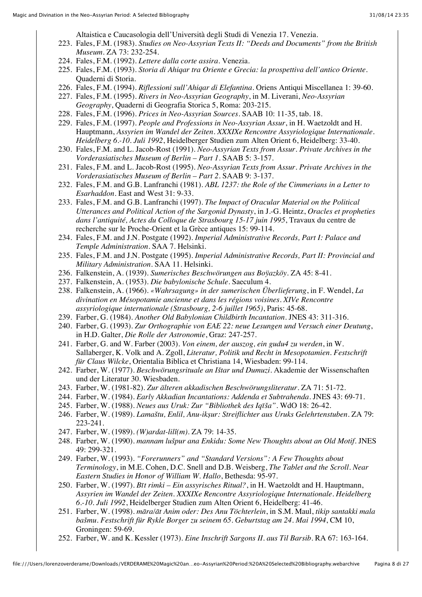Altaistica e Caucasologia dell'Università degli Studi di Venezia 17. Venezia.

- 223. Fales, F.M. (1983). *Studies on Neo-Assyrian Texts II: "Deeds and Documents" from the British Museum*. ZA 73: 232-254.
- 224. Fales, F.M. (1992). *Lettere dalla corte assira*. Venezia.
- 225. Fales, F.M. (1993). *Storia di Ahiqar tra Oriente e Grecia: la prospettiva dell'antico Oriente*. Quaderni di Storia.
- 226. Fales, F.M. (1994). *Riflessioni sull'Ahiqar di Elefantina*. Oriens Antiqui Miscellanea 1: 39-60.
- 227. Fales, F.M. (1995). *Rivers in Neo-Assyrian Geography*, in M. Liverani, *Neo-Assyrian Geography*, Quaderni di Geografia Storica 5, Roma: 203-215.
- 228. Fales, F.M. (1996). *Prices in Neo-Assyrian Sources*. SAAB 10: 11-35, tab. 18.
- 229. Fales, F.M. (1997). *People and Professions in Neo-Assyrian Assur*, in H. Waetzoldt and H. Hauptmann, *Assyrien im Wandel der Zeiten. XXXIXe Rencontre Assyriologique Internationale. Heidelberg 6.-10. Juli 1992*, Heidelberger Studien zum Alten Orient 6, Heidelberg: 33-40.
- 230. Fales, F.M. and L. Jacob-Rost (1991). *Neo-Assyrian Texts from Assur. Private Archives in the Vorderasiatisches Museum of Berlin – Part 1*. SAAB 5: 3-157.
- 231. Fales, F.M. and L. Jacob-Rost (1995). *Neo-Assyrian Texts from Assur. Private Archives in the Vorderasiatisches Museum of Berlin – Part 2*. SAAB 9: 3-137.
- 232. Fales, F.M. and G.B. Lanfranchi (1981). *ABL 1237: the Role of the Cimmerians in a Letter to Esarhaddon*. East and West 31: 9-33.
- 233. Fales, F.M. and G.B. Lanfranchi (1997). *The Impact of Oracular Material on the Political Utterances and Political Action of the Sargonid Dynasty*, in J.-G. Heintz, *Oracles et propheties dans l'antiquité, Actes du Colloque de Strasbourg 15-17 juin 1995*, Travaux du centre de recherche sur le Proche-Orient et la Grèce antiques 15: 99-114.
- 234. Fales, F.M. and J.N. Postgate (1992). *Imperial Administrative Records, Part I: Palace and Temple Administration*. SAA 7. Helsinki.
- 235. Fales, F.M. and J.N. Postgate (1995). *Imperial Administrative Records, Part II: Provincial and Military Administration*. SAA 11. Helsinki.
- 236. Falkenstein, A. (1939). *Sumerisches Beschwörungen aus Boÿazköy*. ZA 45: 8-41.
- 237. Falkenstein, A. (1953). *Die babylonische Schule*. Saeculum 4.
- 238. Falkenstein, A. (1966). *«Wahrsagung» in der sumerischen Überlieferung*, in F. Wendel, *La divination en Mésopotamie ancienne et dans les régions voisines. XIVe Rencontre assyriologique internationale (Strasbourg, 2-6 juillet 1965)*, Paris: 45-68.
- 239. Farber, G. (1984). *Another Old Babylonian Childbirth Incantation*. JNES 43: 311-316.
- 240. Farber, G. (1993). *Zur Orthographie von EAE 22: neue Lesungen und Versuch einer Deutung*, in H.D. Galter, *Die Rolle der Astronomie*, Graz: 247-257.
- 241. Farber, G. and W. Farber (2003). *Von einem, der auszog, ein gudu4 zu werden*, in W. Sallaberger, K. Volk and A. Zgoll, *Literatur, Politik und Recht in Mesopotamien. Festschrift für Claus Wilcke*, Orientalia Biblica et Christiana 14, Wiesbaden: 99-114.
- 242. Farber, W. (1977). *Beschwörungsrituale an Ištar und Dumuzi*. Akademie der Wissenschaften und der Literatur 30. Wiesbaden.
- 243. Farber, W. (1981-82). *Zur älteren akkadischen Beschwörungsliteratur*. ZA 71: 51-72.
- 244. Farber, W. (1984). *Early Akkadian Incantations: Addenda et Subtrahenda*. JNES 43: 69-71.
- 245. Farber, W. (1988). *Neues aus Uruk: Zur "Bibliothek des Iqīša"*. WdO 18: 26-42.
- 246. Farber, W. (1989). *Lamaštu, Enlil, Anu-ikṣur: Streiflichter aus Uruks Gelehrtenstuben*. ZA 79: 223-241.
- 247. Farber, W. (1989). *(W)ardat-lilî(m)*. ZA 79: 14-35.
- 248. Farber, W. (1990). *mannam lušpur ana Enkidu: Some New Thoughts about an Old Motif*. JNES 49: 299-321.
- 249. Farber, W. (1993). *"Forerunners" and "Standard Versions": A Few Thoughts about Terminology*, in M.E. Cohen, D.C. Snell and D.B. Weisberg, *The Tablet and the Scroll. Near Eastern Studies in Honor of William W. Hallo*, Bethesda: 95-97.
- 250. Farber, W. (1997). *Bīt rimki Ein assyrisches Ritual?*, in H. Waetzoldt and H. Hauptmann, *Assyrien im Wandel der Zeiten. XXXIXe Rencontre Assyriologique Internationale. Heidelberg 6.-10. Juli 1992*, Heidelberger Studien zum Alten Orient 6, Heidelberg: 41-46.
- 251. Farber, W. (1998). *māra/āt Anim oder: Des Anu Töchterlein*, in S.M. Maul, *tikip santakki mala bašmu. Festschrift für Rykle Borger zu seinem 65. Geburtstag am 24. Mai 1994*, CM 10, Groningen: 59-69.
- 252. Farber, W. and K. Kessler (1973). *Eine Inschrift Sargons II. aus Til Barsib*. RA 67: 163-164.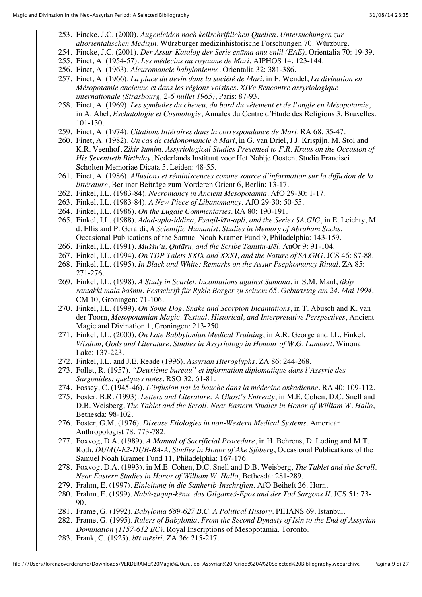- 253. Fincke, J.C. (2000). *Augenleiden nach keilschriftlichen Quellen. Untersuchungen zur altorientalischen Medizin*. Würzburger medizinhistorische Forschungen 70. Würzburg.
- 254. Fincke, J.C. (2001). *Der Assur-Katalog der Serie enūma anu enlil (EAE)*. Orientalia 70: 19-39.
- 255. Finet, A. (1954-57). *Les médecins au royaume de Mari*. AIPHOS 14: 123-144.
- 256. Finet, A. (1963). *Aleuromancie babylonienne*. Orientalia 32: 381-386.
- 257. Finet, A. (1966). *La place du devin dans la société de Mari*, in F. Wendel, *La divination en Mésopotamie ancienne et dans les régions voisines. XIVe Rencontre assyriologique internationale (Strasbourg, 2-6 juillet 1965)*, Paris: 87-93.
- 258. Finet, A. (1969). *Les symboles du cheveu, du bord du vêtement et de l'ongle en Mésopotamie*, in A. Abel, *Eschatologie et Cosmologie*, Annales du Centre d'Etude des Religions 3, Bruxelles: 101-130.
- 259. Finet, A. (1974). *Citations littéraires dans la correspondance de Mari*. RA 68: 35-47.
- 260. Finet, A. (1982). *Un cas de clédonomancie à Mari*, in G. van Driel, J.J. Krispijn, M. Stol and K.R. Veenhof, *Zikir šumim. Assyriological Studies Presented to F.R. Kraus on the Occasion of His Seventieth Birthday*, Nederlands Instituut voor Het Nabije Oosten. Studia Francisci Scholten Memoriae Dicata 5, Leiden: 48-55.
- 261. Finet, A. (1986). *Allusions et réminiscences comme source d'information sur la diffusion de la littérature*, Berliner Beiträge zum Vorderen Orient 6, Berlin: 13-17.
- 262. Finkel, I.L. (1983-84). *Necromancy in Ancient Mesopotamia*. AfO 29-30: 1-17.
- 263. Finkel, I.L. (1983-84). *A New Piece of Libanomancy*. AfO 29-30: 50-55.
- 264. Finkel, I.L. (1986). *On the Lugale Commentaries*. RA 80: 190-191.
- 265. Finkel, I.L. (1988). *Adad-apla-iddina, Esagil-kīn-apli, and the Series SA.GIG*, in E. Leichty, M. d. Ellis and P. Gerardi, *A Scientific Humanist. Studies in Memory of Abraham Sachs*, Occasional Publications of the Samuel Noah Kramer Fund 9, Philadelphia: 143-159.
- 266. Finkel, I.L. (1991). *Muššu'u, Qutāru, and the Scribe Tanittu-Bēl*. AuOr 9: 91-104.
- 267. Finkel, I.L. (1994). *On TDP Talets XXIX and XXXI, and the Nature of SA.GIG*. JCS 46: 87-88.
- 268. Finkel, I.L. (1995). *In Black and White: Remarks on the Assur Psephomancy Ritual*. ZA 85: 271-276.
- 269. Finkel, I.L. (1998). *A Study in Scarlet. Incantations against Samana*, in S.M. Maul, *tikip santakki mala bašmu. Festschrift für Rykle Borger zu seinem 65. Geburtstag am 24. Mai 1994*, CM 10, Groningen: 71-106.
- 270. Finkel, I.L. (1999). *On Some Dog, Snake and Scorpion Incantations*, in T. Abusch and K. van der Toorn, *Mesopotamian Magic. Textual, Historical, and Interpretative Perspectives*, Ancient Magic and Divination 1, Groningen: 213-250.
- 271. Finkel, I.L. (2000). *On Late Babbylonian Medical Training*, in A.R. George and I.L. Finkel, *Wisdom, Gods and Literature. Studies in Assyriology in Honour of W.G. Lambert*, Winona Lake: 137-223.
- 272. Finkel, I.L. and J.E. Reade (1996). *Assyrian Hieroglyphs*. ZA 86: 244-268.
- 273. Follet, R. (1957). *"Deuxième bureau" et information diplomatique dans l'Assyrie des Sargonides: quelques notes*. RSO 32: 61-81.
- 274. Fossey, C. (1945-46). *L'infusion par la bouche dans la médecine akkadienne*. RA 40: 109-112.
- 275. Foster, B.R. (1993). *Letters and Literature: A Ghost's Entreaty*, in M.E. Cohen, D.C. Snell and D.B. Weisberg, *The Tablet and the Scroll. Near Eastern Studies in Honor of William W. Hallo*, Bethesda: 98-102.
- 276. Foster, G.M. (1976). *Disease Etiologies in non-Western Medical Systems*. American Anthropologist 78: 773-782.
- 277. Foxvog, D.A. (1989). *A Manual of Sacrificial Procedure*, in H. Behrens, D. Loding and M.T. Roth, *DUMU-E2-DUB-BA-A. Studies in Honor of Ake Sjöberg*, Occasional Publications of the Samuel Noah Kramer Fund 11, Philadelphia: 167-176.
- 278. Foxvog, D.A. (1993). in M.E. Cohen, D.C. Snell and D.B. Weisberg, *The Tablet and the Scroll. Near Eastern Studies in Honor of William W. Hallo*, Bethesda: 281-289.
- 279. Frahm, E. (1997). *Einleitung in die Sanherib-Inschriften*. AfO Beiheft 26. Horn.
- 280. Frahm, E. (1999). *Nabû-zuqup-kēnu, das Gilgameš-Epos und der Tod Sargons II*. JCS 51: 73-  $90^{\circ}$
- 281. Frame, G. (1992). *Babylonia 689-627 B.C. A Political History*. PIHANS 69. Istanbul.
- 282. Frame, G. (1995). *Rulers of Babylonia. From the Second Dynasty of Isin to the End of Assyrian Domination (1157-612 BC)*. Royal Inscriptions of Mesopotamia. Toronto.
- 283. Frank, C. (1925). *bīt mēsiri*. ZA 36: 215-217.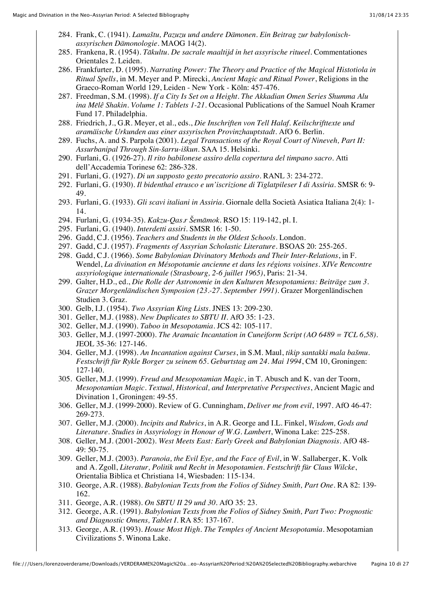- 284. Frank, C. (1941). *Lamaštu, Pazuzu und andere Dämonen. Ein Beitrag zur babylonischassyrischen Dämonologie*. MAOG 14(2).
- 285. Frankena, R. (1954). *Tākultu. De sacrale maaltijd in het assyrische ritueel*. Commentationes Orientales 2. Leiden.
- 286. Frankfurter, D. (1995). *Narrating Power: The Theory and Practice of the Magical Histotiola in Ritual Spells*, in M. Meyer and P. Mirecki, *Ancient Magic and Ritual Power*, Religions in the Graeco-Roman World 129, Leiden - New York - Köln: 457-476.
- 287. Freedman, S.M. (1998). *If a City Is Set on a Height. The Akkadian Omen Series Shumma Alu ina Mēlê Shakin. Volume 1: Tablets 1-21*. Occasional Publications of the Samuel Noah Kramer Fund 17. Philadelphia.
- 288. Friedrich, J., G.R. Meyer, et al., eds., *Die Inschriften von Tell Halaf. Keilschrifttexte und aramäische Urkunden aus einer assyrischen Provinzhauptstadt*. AfO 6. Berlin.
- 289. Fuchs, A. and S. Parpola (2001). *Legal Transactions of the Royal Court of Nineveh, Part II: Assurbanipal Through Sin-šarru-iškun*. SAA 15. Helsinki.
- 290. Furlani, G. (1926-27). *Il rito babilonese assiro della copertura del timpano sacro*. Atti dell'Accademia Torinese 62: 286-328.
- 291. Furlani, G. (1927). *Di un supposto gesto precatorio assiro*. RANL 3: 234-272.
- 292. Furlani, G. (1930). *Il bidenthal etrusco e un'iscrizione di Tiglatpileser I di Assiria*. SMSR 6: 9- 49.
- 293. Furlani, G. (1933). *Gli scavi italiani in Assiria*. Giornale della Società Asiatica Italiana 2(4): 1- 14.
- 294. Furlani, G. (1934-35). *Kakzu-Qas.r Šemāmok*. RSO 15: 119-142, pl. I.
- 295. Furlani, G. (1940). *Interdetti assiri*. SMSR 16: 1-50.
- 296. Gadd, C.J. (1956). *Teachers and Students in the Oldest Schools*. London.
- 297. Gadd, C.J. (1957). *Fragments of Assyrian Scholastic Literature*. BSOAS 20: 255-265.
- 298. Gadd, C.J. (1966). *Some Babylonian Divinatory Methods and Their Inter-Relations*, in F. Wendel, *La divination en Mésopotamie ancienne et dans les régions voisines. XIVe Rencontre assyriologique internationale (Strasbourg, 2-6 juillet 1965)*, Paris: 21-34.
- 299. Galter, H.D., ed., *Die Rolle der Astronomie in den Kulturen Mesopotamiens: Beiträge zum 3. Grazer Morgenländischen Symposion (23.-27. September 1991)*. Grazer Morgenländischen Studien 3. Graz.
- 300. Gelb, I.J. (1954). *Two Assyrian King Lists*. JNES 13: 209-230.
- 301. Geller, M.J. (1988). *New Duplicates to SBTU II*. AfO 35: 1-23.
- 302. Geller, M.J. (1990). *Taboo in Mesopotamia*. JCS 42: 105-117.
- 303. Geller, M.J. (1997-2000). *The Aramaic Incantation in Cuneiform Script (AO 6489 = TCL 6,58)*. JEOL 35-36: 127-146.
- 304. Geller, M.J. (1998). *An Incantation against Curses*, in S.M. Maul, *tikip santakki mala bašmu. Festschrift für Rykle Borger zu seinem 65. Geburtstag am 24. Mai 1994*, CM 10, Groningen: 127-140.
- 305. Geller, M.J. (1999). *Freud and Mesopotamian Magic*, in T. Abusch and K. van der Toorn, *Mesopotamian Magic. Textual, Historical, and Interpretative Perspectives*, Ancient Magic and Divination 1, Groningen: 49-55.
- 306. Geller, M.J. (1999-2000). Review of G. Cunningham, *Deliver me from evil*, 1997. AfO 46-47: 269-273.
- 307. Geller, M.J. (2000). *Incipits and Rubrics*, in A.R. George and I.L. Finkel, *Wisdom, Gods and Literature. Studies in Assyriology in Honour of W.G. Lambert*, Winona Lake: 225-258.
- 308. Geller, M.J. (2001-2002). *West Meets East: Early Greek and Babylonian Diagnosis*. AfO 48- 49: 50-75.
- 309. Geller, M.J. (2003). *Paranoia, the Evil Eye, and the Face of Evil*, in W. Sallaberger, K. Volk and A. Zgoll, *Literatur, Politik und Recht in Mesopotamien. Festschrift für Claus Wilcke*, Orientalia Biblica et Christiana 14, Wiesbaden: 115-134.
- 310. George, A.R. (1988). *Babylonian Texts from the Folios of Sidney Smith, Part One*. RA 82: 139- 162.
- 311. George, A.R. (1988). *On SBTU II 29 und 30*. AfO 35: 23.
- 312. George, A.R. (1991). *Babylonian Texts from the Folios of Sidney Smith, Part Two: Prognostic and Diagnostic Omens, Tablet I*. RA 85: 137-167.
- 313. George, A.R. (1993). *House Most High. The Temples of Ancient Mesopotamia*. Mesopotamian Civilizations 5. Winona Lake.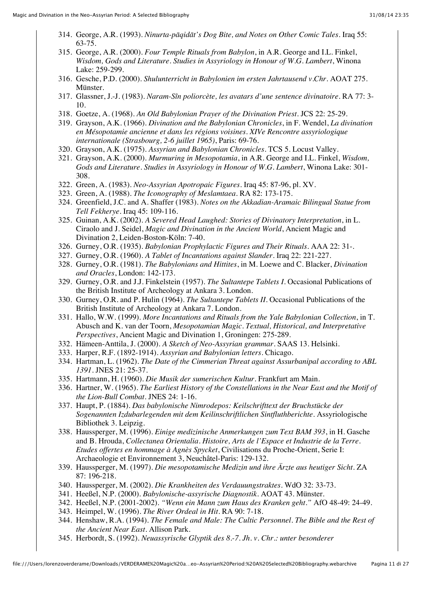- 314. George, A.R. (1993). *Ninurta-pāqidāt's Dog Bite, and Notes on Other Comic Tales*. Iraq 55: 63-75.
- 315. George, A.R. (2000). *Four Temple Rituals from Babylon*, in A.R. George and I.L. Finkel, *Wisdom, Gods and Literature. Studies in Assyriology in Honour of W.G. Lambert*, Winona Lake: 259-299.
- 316. Gesche, P.D. (2000). *Shulunterricht in Babylonien im ersten Jahrtausend v.Chr.* AOAT 275. Münster.
- 317. Glassner, J.-J. (1983). *Naram-Sîn poliorcète, les avatars d'une sentence divinatoire*. RA 77: 3- 10.
- 318. Goetze, A. (1968). *An Old Babylonian Prayer of the Divination Priest*. JCS 22: 25-29.
- 319. Grayson, A.K. (1966). *Divination and the Babylonian Chronicles*, in F. Wendel, *La divination en Mésopotamie ancienne et dans les régions voisines. XIVe Rencontre assyriologique internationale (Strasbourg, 2-6 juillet 1965)*, Paris: 69-76.
- 320. Grayson, A.K. (1975). *Assyrian and Babylonian Chronicles*. TCS 5. Locust Valley.
- 321. Grayson, A.K. (2000). *Murmuring in Mesopotamia*, in A.R. George and I.L. Finkel, *Wisdom, Gods and Literature. Studies in Assyriology in Honour of W.G. Lambert*, Winona Lake: 301- 308.
- 322. Green, A. (1983). *Neo-Assyrian Apotropaic Figures*. Iraq 45: 87-96, pl. XV.
- 323. Green, A. (1988). *The Iconography of Meslamtaea*. RA 82: 173-175.
- 324. Greenfield, J.C. and A. Shaffer (1983). *Notes on the Akkadian-Aramaic Bilingual Statue from Tell Fekherye*. Iraq 45: 109-116.
- 325. Guinan, A.K. (2002). *A Severed Head Laughed: Stories of Divinatory Interpretation*, in L. Ciraolo and J. Seidel, *Magic and Divination in the Ancient World*, Ancient Magic and Divination 2, Leiden-Boston-Köln: 7-40.
- 326. Gurney, O.R. (1935). *Babylonian Prophylactic Figures and Their Rituals*. AAA 22: 31-.
- 327. Gurney, O.R. (1960). *A Tablet of Incantations against Slander*. Iraq 22: 221-227.
- 328. Gurney, O.R. (1981). *The Babylonians and Hittites*, in M. Loewe and C. Blacker, *Divination and Oracles*, London: 142-173.
- 329. Gurney, O.R. and J.J. Finkelstein (1957). *The Sultantepe Tablets I*. Occasional Publications of the British Institute of Archeology at Ankara 3. London.
- 330. Gurney, O.R. and P. Hulin (1964). *The Sultantepe Tablets II*. Occasional Publications of the British Institute of Archeology at Ankara 7. London.
- 331. Hallo, W.W. (1999). *More Incantations and Rituals from the Yale Babylonian Collection*, in T. Abusch and K. van der Toorn, *Mesopotamian Magic. Textual, Historical, and Interpretative Perspectives*, Ancient Magic and Divination 1, Groningen: 275-289.
- 332. Hämeen-Anttila, J. (2000). *A Sketch of Neo-Assyrian grammar*. SAAS 13. Helsinki.
- 333. Harper, R.F. (1892-1914). *Assyrian and Babylonian letters*. Chicago.
- 334. Hartman, L. (1962). *The Date of the Cimmerian Threat against Assurbanipal according to ABL 1391*. JNES 21: 25-37.
- 335. Hartmann, H. (1960). *Die Musik der sumerischen Kultur*. Frankfurt am Main.
- 336. Hartner, W. (1965). *The Earliest History of the Constellations in the Near East and the Motif of the Lion-Bull Combat*. JNES 24: 1-16.
- 337. Haupt, P. (1884). *Das babylonische Nimrodepos: Keilschrifttext der Bruchstücke der Sogenannten Izdubarlegenden mit dem Keilinschriftlichen Sintfluthberichte*. Assyriologische Bibliothek 3. Leipzig.
- 338. Haussperger, M. (1996). *Einige medizinische Anmerkungen zum Text BAM 393*, in H. Gasche and B. Hrouda, *Collectanea Orientalia. Histoire, Arts de l'Espace et Industrie de la Terre. Etudes offertes en hommage à Agnès Spycket*, Civilisations du Proche-Orient, Serie I: Archaeologie et Environnement 3, Neuchâtel-Paris: 129-132.
- 339. Haussperger, M. (1997). *Die mesopotamische Medizin und ihre Ärzte aus heutiger Sicht*. ZA 87: 196-218.
- 340. Haussperger, M. (2002). *Die Krankheiten des Verdauungstraktes*. WdO 32: 33-73.
- 341. Heeßel, N.P. (2000). *Babylonische-assyrische Diagnostik*. AOAT 43. Münster.
- 342. Heeßel, N.P. (2001-2002). *"Wenn ein Mann zum Haus des Kranken geht."* AfO 48-49: 24-49.
- 343. Heimpel, W. (1996). *The River Ordeal in Hit*. RA 90: 7-18.
- 344. Henshaw, R.A. (1994). *The Female and Male: The Cultic Personnel. The Bible and the Rest of the Ancient Near East*. Allison Park.
- 345. Herbordt, S. (1992). *Neuassyrische Glyptik des 8.-7. Jh. v. Chr.: unter besonderer*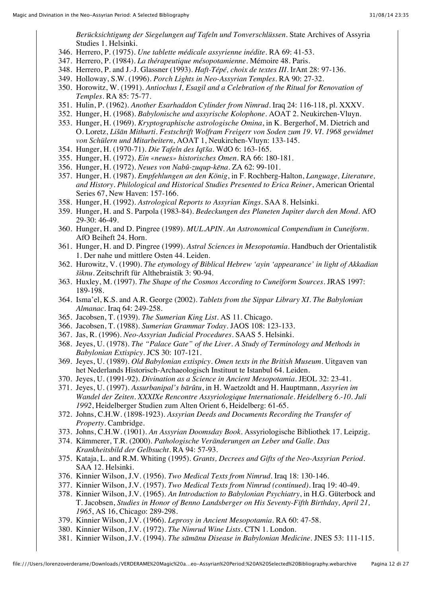*Berücksichtigung der Siegelungen auf Tafeln und Tonverschlüssen*. State Archives of Assyria Studies 1. Helsinki.

- 346. Herrero, P. (1975). *Une tablette médicale assyrienne inédite*. RA 69: 41-53.
- 347. Herrero, P. (1984). *La thérapeutique mésopotamienne*. Mémoire 48. Paris.
- 348. Herrero, P. and J.-J. Glassner (1993). *Haft-Tépé, choix de textes III*. IrAnt 28: 97-136.
- 349. Holloway, S.W. (1996). *Porch Lights in Neo-Assyrian Temples*. RA 90: 27-32.
- 350. Horowitz, W. (1991). *Antiochus I, Esagil and a Celebration of the Ritual for Renovation of Temples*. RA 85: 75-77.
- 351. Hulin, P. (1962). *Another Esarhaddon Cylinder from Nimrud*. Iraq 24: 116-118, pl. XXXV.
- 352. Hunger, H. (1968). *Babylonische und assyrische Kolophone*. AOAT 2. Neukirchen-Vluyn.
- 353. Hunger, H. (1969). *Kryptographische astrologische Omina*, in K. Bergerhof, M. Dietrich and O. Loretz, *Lišān Mithurti. Festschrift Wolfram Freigerr von Soden zum 19. VI. 1968 gewidmet von Schülern und Mitarbeitern*, AOAT 1, Neukirchen-Vluyn: 133-145.
- 354. Hunger, H. (1970-71). *Die Tafeln des Iqīša*. WdO 6: 163-165.
- 355. Hunger, H. (1972). *Ein «neues» historisches Omen*. RA 66: 180-181.
- 356. Hunger, H. (1972). *Neues von Nabû-zuqup-kēna*. ZA 62: 99-101.
- 357. Hunger, H. (1987). *Empfehlungen an den König*, in F. Rochberg-Halton, *Language, Literature, and History. Philological and Historical Studies Presented to Erica Reiner*, American Oriental Series 67, New Haven: 157-166.
- 358. Hunger, H. (1992). *Astrological Reports to Assyrian Kings*. SAA 8. Helsinki.
- 359. Hunger, H. and S. Parpola (1983-84). *Bedeckungen des Planeten Jupiter durch den Mond*. AfO 29-30: 46-49.
- 360. Hunger, H. and D. Pingree (1989). *MUL.APIN. An Astronomical Compendium in Cuneiform*. AfO Beiheft 24. Horn.
- 361. Hunger, H. and D. Pingree (1999). *Astral Sciences in Mesopotamia*. Handbuch der Orientalistik 1. Der nahe und mittlere Osten 44. Leiden.
- 362. Hurowitz, V. (1990). *The etymology of Biblical Hebrew 'ayin 'appearance' in light of Akkadian šiknu*. Zeitschrift für Althebraistik 3: 90-94.
- 363. Huxley, M. (1997). *The Shape of the Cosmos According to Cuneiform Sources*. JRAS 1997: 189-198.
- 364. Isma'el, K.S. and A.R. George (2002). *Tablets from the Sippar Library XI. The Babylonian Almanac*. Iraq 64: 249-258.
- 365. Jacobsen, T. (1939). *The Sumerian King List*. AS 11. Chicago.
- 366. Jacobsen, T. (1988). *Sumerian Grammar Today*. JAOS 108: 123-133.
- 367. Jas, R. (1996). *Neo-Assyrian Judicial Procedures*. SAAS 5. Helsinki.
- 368. Jeyes, U. (1978). *The "Palace Gate" of the Liver. A Study of Terminology and Methods in Babylonian Extispicy*. JCS 30: 107-121.
- 369. Jeyes, U. (1989). *Old Babylonian extispicy. Omen texts in the British Museum*. Uitgaven van het Nederlands Historisch-Archaeologisch Instituut te Istanbul 64. Leiden.
- 370. Jeyes, U. (1991-92). *Divination as a Science in Ancient Mesopotamia*. JEOL 32: 23-41.
- 371. Jeyes, U. (1997). *Assurbanipal's bārûtu*, in H. Waetzoldt and H. Hauptmann, *Assyrien im Wandel der Zeiten. XXXIXe Rencontre Assyriologique Internationale. Heidelberg 6.-10. Juli 1992*, Heidelberger Studien zum Alten Orient 6, Heidelberg: 61-65.
- 372. Johns, C.H.W. (1898-1923). *Assyrian Deeds and Documents Recording the Transfer of Property*. Cambridge.
- 373. Johns, C.H.W. (1901). *An Assyrian Doomsday Book*. Assyriologische Bibliothek 17. Leipzig.
- 374. Kämmerer, T.R. (2000). *Pathologische Veränderungen an Leber und Galle. Das Krankheitsbild der Gelbsucht*. RA 94: 57-93.
- 375. Kataja, L. and R.M. Whiting (1995). *Grants, Decrees and Gifts of the Neo-Assyrian Period*. SAA 12. Helsinki.
- 376. Kinnier Wilson, J.V. (1956). *Two Medical Texts from Nimrud*. Iraq 18: 130-146.
- 377. Kinnier Wilson, J.V. (1957). *Two Medical Texts from Nimrud (continued)*. Iraq 19: 40-49.
- 378. Kinnier Wilson, J.V. (1965). *An Introduction to Babylonian Psychiatry*, in H.G. Güterbock and T. Jacobsen, *Studies in Honor of Benno Landsberger on His Seventy-Fifth Birthday, April 21, 1965*, AS 16, Chicago: 289-298.
- 379. Kinnier Wilson, J.V. (1966). *Leprosy in Ancient Mesopotamia*. RA 60: 47-58.
- 380. Kinnier Wilson, J.V. (1972). *The Nimrud Wine Lists*. CTN 1. London.
- 381. Kinnier Wilson, J.V. (1994). *The sāmānu Disease in Babylonian Medicine*. JNES 53: 111-115.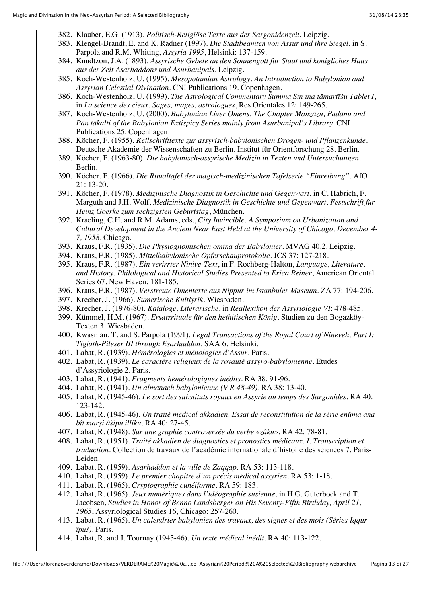- 382. Klauber, E.G. (1913). *Politisch-Religiöse Texte aus der Sargonidenzeit*. Leipzig.
- 383. Klengel-Brandt, E. and K. Radner (1997). *Die Stadtbeamten von Assur und ihre Siegel*, in S. Parpola and R.M. Whiting, *Assyria 1995*, Helsinki: 137-159.
- 384. Knudtzon, J.A. (1893). *Assyrische Gebete an den Sonnengott für Staat und königliches Haus aus der Zeit Asarhaddons und Asurbanipals*. Leipzig.
- 385. Koch-Westenholz, U. (1995). *Mesopotamian Astrology. An Introduction to Babylonian and Assyrian Celestial Divination*. CNI Publications 19. Copenhagen.
- 386. Koch-Westenholz, U. (1999). *The Astrological Commentary Šumma Sîn ina tāmartīšu Tablet I*, in *La science des cieux. Sages, mages, astrologues*, Res Orientales 12: 149-265.
- 387. Koch-Westenholz, U. (2000). *Babylonian Liver Omens. The Chapter Manzāzu, Padānu and Pān tākalti of the Babylonian Extispicy Series mainly from Asurbanipal's Library*. CNI Publications 25. Copenhagen.
- 388. Köcher, F. (1955). *Keilschrifttexte zur assyrisch-babylonischen Drogen- und Pflanzenkunde*. Deutsche Akademie der Wissenschaften zu Berlin. Institut für Orientforschung 28. Berlin.
- 389. Köcher, F. (1963-80). *Die babylonisch-assyrische Medizin in Texten und Untersuchungen*. Berlin.
- 390. Köcher, F. (1966). *Die Ritualtafel der magisch-medizinischen Tafelserie "Einreibung"*. AfO 21: 13-20.
- 391. Köcher, F. (1978). *Medizinische Diagnostik in Geschichte und Gegenwart*, in C. Habrich, F. Marguth and J.H. Wolf, *Medizinische Diagnostik in Geschichte und Gegenwart. Festschrift für Heinz Goerke zum sechzigsten Geburtstag*, München.
- 392. Kraeling, C.H. and R.M. Adams, eds., *City Invincible. A Symposium on Urbanization and Cultural Development in the Ancient Near East Held at the University of Chicago, December 4- 7, 1958*. Chicago.
- 393. Kraus, F.R. (1935). *Die Physiognomischen omina der Babylonier*. MVAG 40.2. Leipzig.
- 394. Kraus, F.R. (1985). *Mittelbabylonische Opferschauprotokolle*. JCS 37: 127-218.
- 395. Kraus, F.R. (1987). *Ein verirrter Ninive-Text*, in F. Rochberg-Halton, *Language, Literature, and History. Philological and Historical Studies Presented to Erica Reiner*, American Oriental Series 67, New Haven: 181-185.
- 396. Kraus, F.R. (1987). *Verstreute Omentexte aus Nippur im Istanbuler Museum*. ZA 77: 194-206.
- 397. Krecher, J. (1966). *Sumerische Kultlyrik*. Wiesbaden.
- 398. Krecher, J. (1976-80). *Kataloge, Literarische*, in *Reallexikon der Assyriologie VI*: 478-485.
- 399. Kümmel, H.M. (1967). *Ersatzrituale für den hethitischen König*. Studien zu den Bogazköy-Texten 3. Wiesbaden.
- 400. Kwasman, T. and S. Parpola (1991). *Legal Transactions of the Royal Court of Nineveh, Part I: Tiglath-Pileser III through Esarhaddon*. SAA 6. Helsinki.
- 401. Labat, R. (1939). *Hémérologies et ménologies d'Assur*. Paris.
- 402. Labat, R. (1939). *Le caractère religieux de la royauté assyro-babylonienne*. Etudes d'Assyriologie 2. Paris.
- 403. Labat, R. (1941). *Fragments hémérologiques inédits*. RA 38: 91-96.
- 404. Labat, R. (1941). *Un almanach babylonienne (V R 48-49)*. RA 38: 13-40.
- 405. Labat, R. (1945-46). *Le sort des substituts royaux en Assyrie au temps des Sargonides*. RA 40: 123-142.
- 406. Labat, R. (1945-46). *Un traité médical akkadien. Essai de reconstitution de la série enûma ana bît marṣi âšipu illiku*. RA 40: 27-45.
- 407. Labat, R. (1948). *Sur une graphie controversée du verbe «zâku»*. RA 42: 78-81.
- 408. Labat, R. (1951). *Traité akkadien de diagnostics et pronostics médicaux. I. Transcription et traduction*. Collection de travaux de l'académie internationale d'histoire des sciences 7. Paris-Leiden.
- 409. Labat, R. (1959). *Asarhaddon et la ville de Zaqqap*. RA 53: 113-118.
- 410. Labat, R. (1959). *Le premier chapitre d'un précis médical assyrien*. RA 53: 1-18.
- 411. Labat, R. (1965). *Cryptographie cunéiforme*. RA 59: 183.
- 412. Labat, R. (1965). *Jeux numériques dans l'idéographie susienne*, in H.G. Güterbock and T. Jacobsen, *Studies in Honor of Benno Landsberger on His Seventy-Fifth Birthday, April 21, 1965*, Assyriological Studies 16, Chicago: 257-260.
- 413. Labat, R. (1965). *Un calendrier babylonien des travaux, des signes et des mois (Séries Iqqur îpuš)*. Paris.
- 414. Labat, R. and J. Tournay (1945-46). *Un texte médical inédit*. RA 40: 113-122.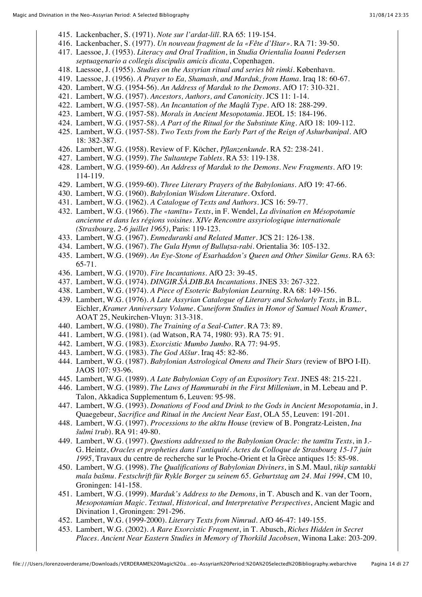- 415. Lackenbacher, S. (1971). *Note sur l'ardat-lilî*. RA 65: 119-154.
- 416. Lackenbacher, S. (1977). *Un nouveau fragment de la «Fête d'Ištar»*. RA 71: 39-50.
- 417. Laessoe, J. (1953). *Literacy and Oral Tradition*, in *Studia Orientalia Ioanni Pedersen septuagenario a collegis discipulis amicis dicata*, Copenhagen.
- 418. Laessoe, J. (1955). *Studies on the Assyrian ritual and series bît rimki*. København.
- 419. Laessoe, J. (1956). *A Prayer to Ea, Shamash, and Marduk, from Hama*. Iraq 18: 60-67.
- 420. Lambert, W.G. (1954-56). *An Address of Marduk to the Demons*. AfO 17: 310-321.
- 421. Lambert, W.G. (1957). *Ancestors, Authors, and Canonicity*. JCS 11: 1-14.
- 422. Lambert, W.G. (1957-58). *An Incantation of the Maqlû Type*. AfO 18: 288-299.
- 423. Lambert, W.G. (1957-58). *Morals in Ancient Mesopotamia*. JEOL 15: 184-196.
- 424. Lambert, W.G. (1957-58). *A Part of the Ritual for the Substitute King*. AfO 18: 109-112.
- 425. Lambert, W.G. (1957-58). *Two Texts from the Early Part of the Reign of Ashurbanipal*. AfO 18: 382-387.
- 426. Lambert, W.G. (1958). Review of F. Köcher, *Pflanzenkunde*. RA 52: 238-241.
- 427. Lambert, W.G. (1959). *The Sultantepe Tablets*. RA 53: 119-138.
- 428. Lambert, W.G. (1959-60). *An Address of Marduk to the Demons. New Fragments*. AfO 19: 114-119.
- 429. Lambert, W.G. (1959-60). *Three Literary Prayers of the Babylonians*. AfO 19: 47-66.
- 430. Lambert, W.G. (1960). *Babylonian Wisdom Literature*. Oxford.
- 431. Lambert, W.G. (1962). *A Catalogue of Texts and Authors*. JCS 16: 59-77.
- 432. Lambert, W.G. (1966). *The «tamītu» Texts*, in F. Wendel, *La divination en Mésopotamie ancienne et dans les régions voisines. XIVe Rencontre assyriologique internationale (Strasbourg, 2-6 juillet 1965)*, Paris: 119-123.
- 433. Lambert, W.G. (1967). *Enmeduranki and Related Matter*. JCS 21: 126-138.
- 434. Lambert, W.G. (1967). *The Gula Hymn of Bulluṭsa-rabi*. Orientalia 36: 105-132.
- 435. Lambert, W.G. (1969). *An Eye-Stone of Esarhaddon's Queen and Other Similar Gems*. RA 63: 65-71.
- 436. Lambert, W.G. (1970). *Fire Incantations*. AfO 23: 39-45.
- 437. Lambert, W.G. (1974). *DINGIR.ŠÀ.DIB.BA Incantations*. JNES 33: 267-322.
- 438. Lambert, W.G. (1974). *A Piece of Esoteric Babylonian Learning*. RA 68: 149-156.
- 439. Lambert, W.G. (1976). *A Late Assyrian Catalogue of Literary and Scholarly Texts*, in B.L. Eichler, *Kramer Anniversary Volume. Cuneiform Studies in Honor of Samuel Noah Kramer*, AOAT 25, Neukirchen-Vluyn: 313-318.
- 440. Lambert, W.G. (1980). *The Training of a Seal-Cutter*. RA 73: 89.
- 441. Lambert, W.G. (1981). (ad Watson, RA 74, 1980: 93). RA 75: 91.
- 442. Lambert, W.G. (1983). *Exorcistic Mumbo Jumbo*. RA 77: 94-95.
- 443. Lambert, W.G. (1983). *The God Aššur*. Iraq 45: 82-86.
- 444. Lambert, W.G. (1987). *Babylonian Astrological Omens and Their Stars* (review of BPO I-II). JAOS 107: 93-96.
- 445. Lambert, W.G. (1989). *A Late Babylonian Copy of an Expository Text*. JNES 48: 215-221.
- 446. Lambert, W.G. (1989). *The Laws of Hammurabi in the First Millenium*, in M. Lebeau and P. Talon, Akkadica Supplementum 6, Leuven: 95-98.
- 447. Lambert, W.G. (1993). *Donations of Food and Drink to the Gods in Ancient Mesopotamia*, in J. Quaegebeur, *Sacrifice and Ritual in the Ancient Near East*, OLA 55, Leuven: 191-201.
- 448. Lambert, W.G. (1997). *Processions to the akītu House* (review of B. Pongratz-Leisten, *Ina šulmi īrub*). RA 91: 49-80.
- 449. Lambert, W.G. (1997). *Questions addressed to the Babylonian Oracle: the tamītu Texts*, in J.- G. Heintz, *Oracles et propheties dans l'antiquité. Actes du Colloque de Strasbourg 15-17 juin 1995*, Travaux du centre de recherche sur le Proche-Orient et la Grèce antiques 15: 85-98.
- 450. Lambert, W.G. (1998). *The Qualifications of Babylonian Diviners*, in S.M. Maul, *tikip santakki mala bašmu. Festschrift für Rykle Borger zu seinem 65. Geburtstag am 24. Mai 1994*, CM 10, Groningen: 141-158.
- 451. Lambert, W.G. (1999). *Marduk's Address to the Demons*, in T. Abusch and K. van der Toorn, *Mesopotamian Magic. Textual, Historical, and Interpretative Perspectives*, Ancient Magic and Divination 1, Groningen: 291-296.
- 452. Lambert, W.G. (1999-2000). *Literary Texts from Nimrud*. AfO 46-47: 149-155.
- 453. Lambert, W.G. (2002). *A Rare Exorcistic Fragment*, in T. Abusch, *Riches Hidden in Secret Places. Ancient Near Eastern Studies in Memory of Thorkild Jacobsen*, Winona Lake: 203-209.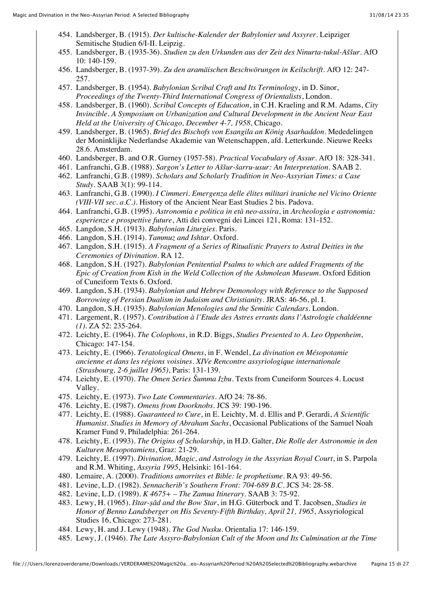- 454. Landsberger, B. (1915). *Der kultische-Kalender der Babylonier und Assyrer*. Leipziger Semitische Studien 6/I-II. Leipzig.
- 455. Landsberger, B. (1935-36). *Studien zu den Urkunden aus der Zeit des Ninurta-tukul-Aššur*. AfO 10: 140-159.
- 456. Landsberger, B. (1937-39). *Zu den aramäischen Beschwörungen in Keilschrift*. AfO 12: 247- 257.
- 457. Landsberger, B. (1954). *Babylonian Scribal Craft and Its Terminology*, in D. Sinor, *Proceedings of the Twenty-Third International Congress of Orientalists*, London.
- 458. Landsberger, B. (1960). *Scribal Concepts of Education*, in C.H. Kraeling and R.M. Adams, *City Invincible. A Symposium on Urbanization and Cultural Development in the Ancient Near East Held at the University of Chicago, December 4-7, 1958*, Chicago.
- 459. Landsberger, B. (1965). *Brief des Bischofs von Esangila an König Asarhaddon*. Mededelingen der Moninklijke Nederlandse Akademie van Wetenschappen, afd. Letterkunde. Nieuwe Reeks 28.6. Amsterdam.
- 460. Landsberger, B. and O.R. Gurney (1957-58). *Practical Vocabulary of Assur*. AfO 18: 328-341.
- 461. Lanfranchi, G.B. (1988). *Sargon's Letter to Aššur-šarru-usur: An Interpretation*. SAAB 2.
- 462. Lanfranchi, G.B. (1989). *Scholars and Scholarly Tradition in Neo-Assyrian Times: a Case Study*. SAAB 3(1): 99-114.
- 463. Lanfranchi, G.B. (1990). *I Cimmeri. Emergenza delle élites militari iraniche nel Vicino Oriente (VIII-VII sec. a.C.)*. History of the Ancient Near East Studies 2 bis. Padova.
- 464. Lanfranchi, G.B. (1995). *Astronomia e politica in età neo-assira*, in *Archeologia e astronomia: esperienze e prospettive future*, Atti dei convegni dei Lincei 121, Roma: 131-152.
- 465. Langdon, S.H. (1913). *Babylonian Liturgies*. Paris.
- 466. Langdon, S.H. (1914). *Tammuz and Ishtar*. Oxford.
- 467. Langdon, S.H. (1915). *A Fragment of a Series of Ritualistic Prayers to Astral Deities in the Ceremonies of Divination*. RA 12.
- 468. Langdon, S.H. (1927). *Babylonian Penitential Psalms to which are added Fragments of the Epic of Creation from Kish in the Weld Collection of the Ashmolean Museum*. Oxford Edition of Cuneiform Texts 6. Oxford.
- 469. Langdon, S.H. (1934). *Babylonian and Hebrew Demonology with Reference to the Supposed Borrowing of Persian Dualism in Judaism and Christianity*. JRAS: 46-56, pl. I.
- 470. Langdon, S.H. (1935). *Babylonian Menologies and the Semitic Calendars*. London.
- 471. Largement, R. (1957). *Contribution à l'Etude des Astres errants dans l'Astrologie chaldéenne (1)*. ZA 52: 235-264.
- 472. Leichty, E. (1964). *The Colophons*, in R.D. Biggs, *Studies Presented to A. Leo Oppenheim*, Chicago: 147-154.
- 473. Leichty, E. (1966). *Teratological Omens*, in F. Wendel, *La divination en Mésopotamie ancienne et dans les régions voisines. XIVe Rencontre assyriologique internationale (Strasbourg, 2-6 juillet 1965)*, Paris: 131-139.
- 474. Leichty, E. (1970). *The Omen Series Šumma Izbu*. Texts from Cuneiform Sources 4. Locust Valley.
- 475. Leichty, E. (1973). *Two Late Commentaries*. AfO 24: 78-86.
- 476. Leichty, E. (1987). *Omens from Doorknobs*. JCS 39: 190-196.
- 477. Leichty, E. (1988). *Guaranteed to Cure*, in E. Leichty, M. d. Ellis and P. Gerardi, *A Scientific Humanist. Studies in Memory of Abraham Sachs*, Occasional Publications of the Samuel Noah Kramer Fund 9, Philadelphia: 261-264.
- 478. Leichty, E. (1993). *The Origins of Scholarship*, in H.D. Galter, *Die Rolle der Astronomie in den Kulturen Mesopotamiens*, Graz: 21-29.
- 479. Leichty, E. (1997). *Divination, Magic, and Astrology in the Assyrian Royal Court*, in S. Parpola and R.M. Whiting, *Assyria 1995*, Helsinki: 161-164.
- 480. Lemaire, A. (2000). *Traditions amorrites et Bible: le prophetisme*. RA 93: 49-56.
- 481. Levine, L.D. (1982). *Sennacherib's Southern Front: 704-689 B.C.* JCS 34: 28-58.
- 482. Levine, L.D. (1989). *K 4675+ The Zamua Itinerary*. SAAB 3: 75-92.
- 483. Lewy, H. (1965). *Ištar-ṣâd and the Bow Star*, in H.G. Güterbock and T. Jacobsen, *Studies in Honor of Benno Landsberger on His Seventy-Fifth Birthday, April 21, 1965*, Assyriological Studies 16, Chicago: 273-281.
- 484. Lewy, H. and J. Lewy (1948). *The God Nusku*. Orientalia 17: 146-159.
- 485. Lewy, J. (1946). *The Late Assyro-Babylonian Cult of the Moon and Its Culmination at the Time*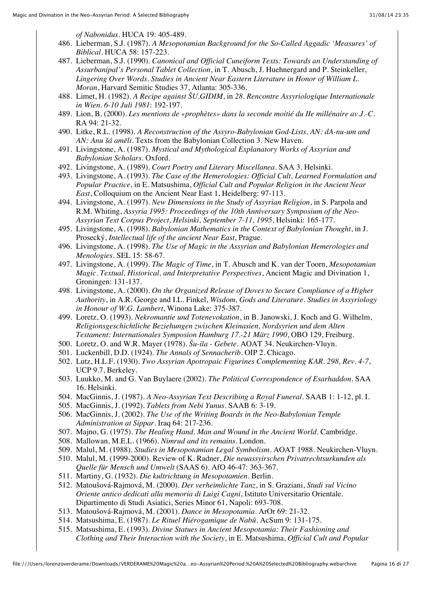*of Nabonidus*. HUCA 19: 405-489.

- 486. Lieberman, S.J. (1987). *A Mesopotamian Background for the So-Called Aggadic 'Measures' of Biblical*. HUCA 58: 157-223.
- 487. Lieberman, S.J. (1990). *Canonical and Official Cuneiform Texts: Towards an Understanding of Assurbanipal's Personal Tablet Collection*, in T. Abusch, J. Huehnergard and P. Steinkeller, *Lingering Over Words. Studies in Ancient Near Eastern Literature in Honor of William L. Moran*, Harvard Semitic Studies 37, Atlanta: 305-336.
- 488. Limet, H. (1982). *A Recipe against ŠU.GIDIM*, in *28. Rencontre Assyriologique Internationale in Wien. 6-10 Juli 1981*: 192-197.
- 489. Lion, B. (2000). *Les mentions de «prophètes» dans la seconde moitié du IIe millénaire av.J.-C.* RA 94: 21-32.
- 490. Litke, R.L. (1998). *A Reconstruction of the Assyro-Babylonian God-Lists, AN: dA-nu-um and AN: Anu šá amēli*. Texts from the Babylonian Collection 3. New Haven.
- 491. Livingstone, A. (1987). *Mystical and Mythological Explanatory Works of Assyrian and Babylonian Scholars*. Oxford.
- 492. Livingstone, A. (1989). *Court Poetry and Literary Miscellanea*. SAA 3. Helsinki.
- 493. Livingstone, A. (1993). *The Case of the Hemerologies: Official Cult, Learned Formulation and Popular Practice*, in E. Matsushima, *Official Cult and Popular Religion in the Ancient Near East*, Colloquium on the Ancient Near East 1, Heidelberg: 97-113.
- 494. Livingstone, A. (1997). *New Dimensions in the Study of Assyrian Religion*, in S. Parpola and R.M. Whiting, *Assyria 1995: Proceedings of the 10th Anniversary Symposium of the Neo-Assyrian Text Corpus Project, Helsinki, September 7-11, 1995*, Helsinki: 165-177.
- 495. Livingstone, A. (1998). *Babylonian Mathematics in the Context of Babylonian Thought*, in J. Prosecký, *Intellectual life of the ancient Near East*, Prague.
- 496. Livingstone, A. (1998). *The Use of Magic in the Assyrian and Babylonian Hemerologies and Menologies*. SEL 15: 58-67.
- 497. Livingstone, A. (1999). *The Magic of Time*, in T. Abusch and K. van der Toorn, *Mesopotamian Magic. Textual, Historical, and Interpretative Perspectives*, Ancient Magic and Divination 1, Groningen: 131-137.
- 498. Livingstone, A. (2000). *On the Organized Release of Doves to Secure Compliance of a Higher Authority*, in A.R. George and I.L. Finkel, *Wisdom, Gods and Literature. Studies in Assyriology in Honour of W.G. Lambert*, Winona Lake: 375-387.
- 499. Loretz, O. (1993). *Nekromantie und Totenevokation*, in B. Janowski, J. Koch and G. Wilhelm, *Religionsgeschichtliche Beziehungen zwischen Kleinasien, Nordsyrien und dem Alten Testament: Internationales Symposion Hamburg 17.-21 März 1990*, OBO 129, Freiburg.
- 500. Loretz, O. and W.R. Mayer (1978). *Šu-ila Gebete*. AOAT 34. Neukirchen-Vluyn.
- 501. Luckenbill, D.D. (1924). *The Annals of Sennacherib*. OIP 2. Chicago.
- 502. Lutz, H.L.F. (1930). *Two Assyrian Apotropaic Figurines Complementing KAR. 298, Rev. 4-7*, UCP 9.7, Berkeley.
- 503. Luukko, M. and G. Van Buylaere (2002). *The Political Correspondence of Esarhaddon*. SAA 16. Helsinki.
- 504. MacGinnis, J. (1987). *A Neo-Assyrian Text Describing a Royal Funeral*. SAAB 1: 1-12, pl. I.
- 505. MacGinnis, J. (1992). *Tablets from Nebi Yunus*. SAAB 6: 3-19.
- 506. MacGinnis, J. (2002). *The Use of the Writing Boards in the Neo-Babylonian Temple Administration at Sippar*. Iraq 64: 217-236.
- 507. Majno, G. (1975). *The Healing Hand. Man and Wound in the Ancient World*. Cambridge.
- 508. Mallowan, M.E.L. (1966). *Nimrud and its remains*. London.
- 509. Malul, M. (1988). *Studies in Mesopotamian Legal Symbolism*. AOAT 1988. Neukirchen-Vluyn.
- 510. Malul, M. (1999-2000). Review of K. Radner, *Die neuassyirschen Privatrechtsurkunden als Quelle für Mensch und Umwelt* (SAAS 6). AfO 46-47: 363-367.
- 511. Martiny, G. (1932). *Die kultrichtung in Mesopotamien*. Berlin.
- 512. Matoušová-Rajmová, M. (2000). *Der verheimlichte Tanz*, in S. Graziani, *Studi sul Vicino Oriente antico dedicati alla memoria di Luigi Cagni*, Istituto Universitario Orientale. Dipartimento di Studi Asiatici, Series Minor 61, Napoli: 693-708.
- 513. Matoušová-Rajmová, M. (2001). *Dance in Mesopotamia*. ArOr 69: 21-32.
- 514. Matsushima, E. (1987). *Le Rituel Hiérogamique de Nabû*. AcSum 9: 131-175.
- 515. Matsushima, E. (1993). *Divine Statues in Ancient Mesopotamia: Their Fashioning and Clothing and Their Interaction with the Society*, in E. Matsushima, *Official Cult and Popular*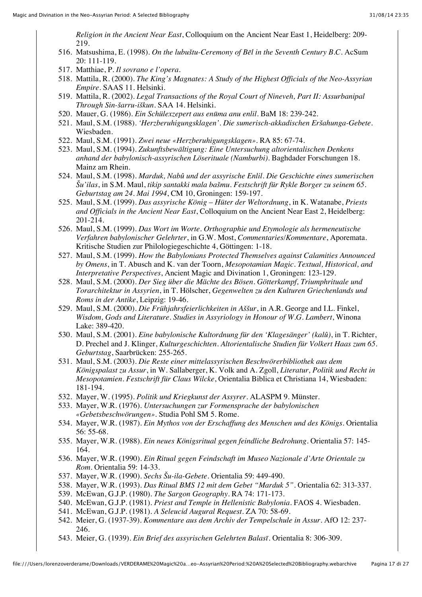*Religion in the Ancient Near East*, Colloquium on the Ancient Near East 1, Heidelberg: 209- 219.

- 516. Matsushima, E. (1998). *On the lubuštu-Ceremony of Bēl in the Seventh Century B.C.* AcSum 20: 111-119.
- 517. Matthiae, P. *Il sovrano e l'opera*.
- 518. Mattila, R. (2000). *The King's Magnates: A Study of the Highest Officials of the Neo-Assyrian Empire*. SAAS 11. Helsinki.
- 519. Mattila, R. (2002). *Legal Transactions of the Royal Court of Nineveh, Part II: Assurbanipal Through Sin-šarru-iškun*. SAA 14. Helsinki.
- 520. Mauer, G. (1986). *Ein Schülexzepert aus enūma anu enlil*. BaM 18: 239-242.
- 521. Maul, S.M. (1988). *'Herzberuhigungsklagen'. Die sumerisch-akkadischen Eršahunga-Gebete*. Wiesbaden.
- 522. Maul, S.M. (1991). *Zwei neue «Herzberuhigungsklagen»*. RA 85: 67-74.
- 523. Maul, S.M. (1994). *Zukunftsbewältigung: Eine Untersuchung altorientalischen Denkens anhand der babylonisch-assyrischen Löserituale (Namburbi)*. Baghdader Forschungen 18. Mainz am Rhein.
- 524. Maul, S.M. (1998). *Marduk, Nabû und der assyrische Enlil. Die Geschichte eines sumerischen Šu'ilas*, in S.M. Maul, *tikip santakki mala bašmu. Festschrift für Rykle Borger zu seinem 65. Geburtstag am 24. Mai 1994*, CM 10, Groningen: 159-197.
- 525. Maul, S.M. (1999). *Das assyrische König Hüter der Weltordnung*, in K. Watanabe, *Priests and Officials in the Ancient Near East*, Colloquium on the Ancient Near East 2, Heidelberg: 201-214.
- 526. Maul, S.M. (1999). *Das Wort im Worte. Orthographie und Etymologie als hermeneutische Verfahren babylonischer Gelehrter*, in G.W. Most, *Commentaries/Kommentare*, Aporemata. Kritische Studien zur Philologiegeschichte 4, Göttingen: 1-18.
- 527. Maul, S.M. (1999). *How the Babylonians Protected Themselves against Calamities Announced by Omens*, in T. Abusch and K. van der Toorn, *Mesopotamian Magic. Textual, Historical, and Interpretative Perspectives*, Ancient Magic and Divination 1, Groningen: 123-129.
- 528. Maul, S.M. (2000). *Der Sieg über die Mächte des Bösen. Götterkampf, Triumphrituale und Torarchitektur in Assyrien*, in T. Hölscher, *Gegenwelten zu den Kulturen Griechenlands und Roms in der Antike*, Leipzig: 19-46.
- 529. Maul, S.M. (2000). *Die Frühjahrsfeierlichkeiten in Aššur*, in A.R. George and I.L. Finkel, *Wisdom, Gods and Literature. Studies in Assyriology in Honour of W.G. Lambert*, Winona Lake: 389-420.
- 530. Maul, S.M. (2001). *Eine babylonische Kultordnung für den 'Klagesänger' (kalû)*, in T. Richter, D. Prechel and J. Klinger, *Kulturgeschichten. Altorientalische Studien für Volkert Haas zum 65. Geburtstag*, Saarbrücken: 255-265.
- 531. Maul, S.M. (2003). *Die Reste einer mittelassyrischen Beschwörerbibliothek aus dem Königspalast zu Assur*, in W. Sallaberger, K. Volk and A. Zgoll, *Literatur, Politik und Recht in Mesopotamien. Festschrift für Claus Wilcke*, Orientalia Biblica et Christiana 14, Wiesbaden: 181-194.
- 532. Mayer, W. (1995). *Politik und Kriegkunst der Assyrer*. ALASPM 9. Münster.
- 533. Mayer, W.R. (1976). *Untersuchungen zur Formensprache der babylonischen «Gebetsbeschwörungen»*. Studia Pohl SM 5. Rome.
- 534. Mayer, W.R. (1987). *Ein Mythos von der Erschaffung des Menschen und des Königs*. Orientalia 56: 55-68.
- 535. Mayer, W.R. (1988). *Ein neues Königsritual gegen feindliche Bedrohung*. Orientalia 57: 145- 164.
- 536. Mayer, W.R. (1990). *Ein Ritual gegen Feindschaft im Museo Nazionale d'Arte Orientale zu Rom*. Orientalia 59: 14-33.
- 537. Mayer, W.R. (1990). *Sechs Šu-ila-Gebete*. Orientalia 59: 449-490.
- 538. Mayer, W.R. (1993). *Das Ritual BMS 12 mit dem Gebet "Marduk 5"*. Orientalia 62: 313-337.
- 539. McEwan, G.J.P. (1980). *The Sargon Geography*. RA 74: 171-173.
- 540. McEwan, G.J.P. (1981). *Priest and Temple in Hellenistic Babylonia*. FAOS 4. Wiesbaden.
- 541. McEwan, G.J.P. (1981). *A Seleucid Augural Request*. ZA 70: 58-69.
- 542. Meier, G. (1937-39). *Kommentare aus dem Archiv der Tempelschule in Assur*. AfO 12: 237- 246.
- 543. Meier, G. (1939). *Ein Brief des assyrischen Gelehrten Balasī*. Orientalia 8: 306-309.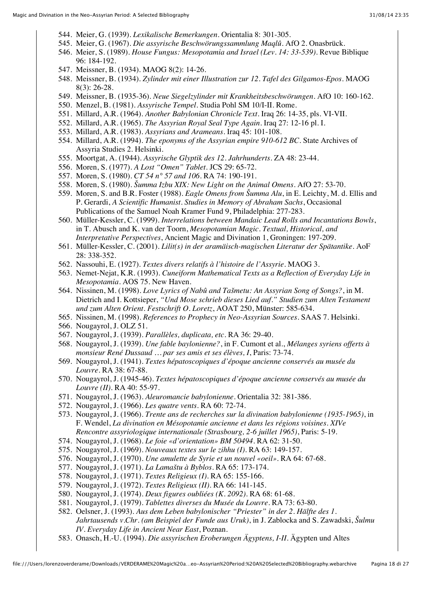- 544. Meier, G. (1939). *Lexikalische Bemerkungen*. Orientalia 8: 301-305.
- 545. Meier, G. (1967). *Die assyrische Beschwörungssammlung Maqlû*. AfO 2. Onasbrück.
- 546. Meier, S. (1989). *House Fungus: Mesopotamia and Israel (Lev. 14: 33-539)*. Revue Biblique 96: 184-192.
- 547. Meissner, B. (1934). MAOG 8(2): 14-26.
- 548. Meissner, B. (1934). *Zylinder mit einer Illustration zur 12. Tafel des Gilgamos-Epos*. MAOG 8(3): 26-28.
- 549. Meissner, B. (1935-36). *Neue Siegelzylinder mit Krankheitsbeschwörungen*. AfO 10: 160-162.
- 550. Menzel, B. (1981). *Assyrische Tempel*. Studia Pohl SM 10/I-II. Rome.
- 551. Millard, A.R. (1964). *Another Babylonian Chronicle Text*. Iraq 26: 14-35, pls. VI-VII.
- 552. Millard, A.R. (1965). *The Assyrian Royal Seal Type Again*. Iraq 27: 12-16 pl. I.
- 553. Millard, A.R. (1983). *Assyrians and Arameans*. Iraq 45: 101-108.
- 554. Millard, A.R. (1994). *The eponyms of the Assyrian empire 910-612 BC*. State Archives of Assyria Studies 2. Helsinki.
- 555. Moortgat, A. (1944). *Assyrische Glyptik des 12. Jahrhunderts*. ZA 48: 23-44.
- 556. Moren, S. (1977). *A Lost "Omen" Tablet*. JCS 29: 65-72.
- 557. Moren, S. (1980). *CT 54 n° 57 and 106*. RA 74: 190-191.
- 558. Moren, S. (1980). *Šumma Izbu XIX: New Light on the Animal Omens*. AfO 27: 53-70.
- 559. Moren, S. and B.R. Foster (1988). *Eagle Omens from Šumma Alu*, in E. Leichty, M. d. Ellis and P. Gerardi, *A Scientific Humanist. Studies in Memory of Abraham Sachs*, Occasional Publications of the Samuel Noah Kramer Fund 9, Philadelphia: 277-283.
- 560. Müller-Kessler, C. (1999). *Interrelations between Mandaic Lead Rolls and Incantations Bowls*, in T. Abusch and K. van der Toorn, *Mesopotamian Magic. Textual, Historical, and Interpretative Perspectives*, Ancient Magic and Divination 1, Groningen: 197-209.
- 561. Müller-Kessler, C. (2001). *Lilit(s) in der aramäisch-magischen Literatur der Spätantike*. AoF 28: 338-352.
- 562. Nassouhi, E. (1927). *Textes divers relatifs à l'histoire de l'Assyrie*. MAOG 3.
- 563. Nemet-Nejat, K.R. (1993). *Cuneiform Mathematical Texts as a Reflection of Everyday Life in Mesopotamia*. AOS 75. New Haven.
- 564. Nissinen, M. (1998). *Love Lyrics of Nabû and Tašmetu: An Assyrian Song of Songs?*, in M. Dietrich and I. Kottsieper, *"Und Mose schrieb dieses Lied auf." Studien zum Alten Testament und zum Alten Orient. Festschrift O. Loretz*, AOAT 250, Münster: 585-634.
- 565. Nissinen, M. (1998). *References to Prophecy in Neo-Assyrian Sources*. SAAS 7. Helsinki.
- 566. Nougayrol, J. OLZ 51.
- 567. Nougayrol, J. (1939). *Parallèles, duplicata, etc.* RA 36: 29-40.
- 568. Nougayrol, J. (1939). *Une fable baylonienne?*, in F. Cumont et al., *Mélanges syriens offerts à monsieur René Dussaud … par ses amis et ses élèves, I*, Paris: 73-74.
- 569. Nougayrol, J. (1941). *Textes hépatoscopiques d'époque ancienne conservés au musée du Louvre*. RA 38: 67-88.
- 570. Nougayrol, J. (1945-46). *Textes hépatoscopiques d'époque ancienne conservés au musée du Louvre (II)*. RA 40: 55-97.
- 571. Nougayrol, J. (1963). *Aleuromancie babylonienne*. Orientalia 32: 381-386.
- 572. Nougayrol, J. (1966). *Les quatre vents*. RA 60: 72-74.
- 573. Nougayrol, J. (1966). *Trente ans de recherches sur la divination babylonienne (1935-1965)*, in F. Wendel, *La divination en Mésopotamie ancienne et dans les régions voisines. XIVe Rencontre assyriologique internationale (Strasbourg, 2-6 juillet 1965)*, Paris: 5-19.
- 574. Nougayrol, J. (1968). *Le foie «d'orientation» BM 50494*. RA 62: 31-50.
- 575. Nougayrol, J. (1969). *Nouveaux textes sur le zihhu (I)*. RA 63: 149-157.
- 576. Nougayrol, J. (1970). *Une amulette de Syrie et un nouvel «oeil»*. RA 64: 67-68.
- 577. Nougayrol, J. (1971). *La Lamaštu à Byblos*. RA 65: 173-174.
- 578. Nougayrol, J. (1971). *Textes Religieux (I)*. RA 65: 155-166.
- 579. Nougayrol, J. (1972). *Textes Religieux (II)*. RA 66: 141-145.
- 580. Nougayrol, J. (1974). *Deux figures oubliées (K. 2092)*. RA 68: 61-68.
- 581. Nougayrol, J. (1979). *Tablettes diverses du Musée du Louvre*. RA 73: 63-80.
- 582. Oelsner, J. (1993). *Aus dem Leben babylonischer "Priester" in der 2. Hälfte des 1. Jahrtausends v.Chr. (am Beispiel der Funde aus Uruk)*, in J. Zablocka and S. Zawadski, *Šulmu IV. Everyday Life in Ancient Near East*, Poznan.
- 583. Onasch, H.-U. (1994). *Die assyrischen Eroberungen Ägyptens, I-II*. Ägypten und Altes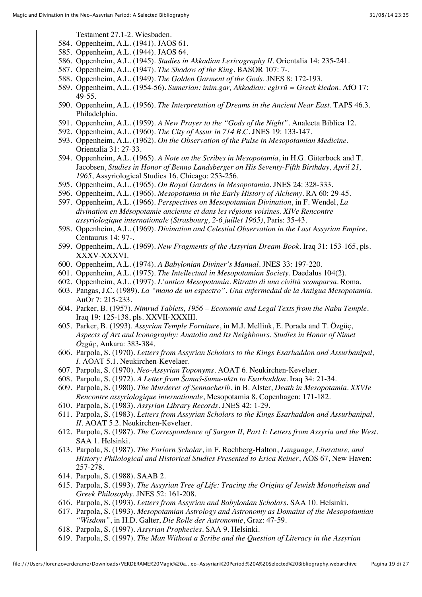Testament 27.1-2. Wiesbaden.

- 584. Oppenheim, A.L. (1941). JAOS 61.
- 585. Oppenheim, A.L. (1944). JAOS 64.
- 586. Oppenheim, A.L. (1945). *Studies in Akkadian Lexicography II*. Orientalia 14: 235-241.
- 587. Oppenheim, A.L. (1947). *The Shadow of the King*. BASOR 107: 7-.
- 588. Oppenheim, A.L. (1949). *The Golden Garment of the Gods*. JNES 8: 172-193.
- 589. Oppenheim, A.L. (1954-56). *Sumerian: inim.gar, Akkadian: egirrû = Greek kledon*. AfO 17: 49-55.
- 590. Oppenheim, A.L. (1956). *The Interpretation of Dreams in the Ancient Near East*. TAPS 46.3. Philadelphia.
- 591. Oppenheim, A.L. (1959). *A New Prayer to the "Gods of the Night"*. Analecta Biblica 12.
- 592. Oppenheim, A.L. (1960). *The City of Assur in 714 B.C.* JNES 19: 133-147.
- 593. Oppenheim, A.L. (1962). *On the Observation of the Pulse in Mesopotamian Medicine*. Orientalia 31: 27-33.
- 594. Oppenheim, A.L. (1965). *A Note on the Scribes in Mesopotamia*, in H.G. Güterbock and T. Jacobsen, *Studies in Honor of Benno Landsberger on His Seventy-Fifth Birthday, April 21, 1965*, Assyriological Studies 16, Chicago: 253-256.
- 595. Oppenheim, A.L. (1965). *On Royal Gardens in Mesopotamia*. JNES 24: 328-333.
- 596. Oppenheim, A.L. (1966). *Mesopotamia in the Early History of Alchemy*. RA 60: 29-45.
- 597. Oppenheim, A.L. (1966). *Perspectives on Mesopotamian Divination*, in F. Wendel, *La divination en Mésopotamie ancienne et dans les régions voisines. XIVe Rencontre assyriologique internationale (Strasbourg, 2-6 juillet 1965)*, Paris: 35-43.
- 598. Oppenheim, A.L. (1969). *Divination and Celestial Observation in the Last Assyrian Empire*. Centaurus 14: 97-.
- 599. Oppenheim, A.L. (1969). *New Fragments of the Assyrian Dream-Book*. Iraq 31: 153-165, pls. XXXV-XXXVI.
- 600. Oppenheim, A.L. (1974). *A Babylonian Diviner's Manual*. JNES 33: 197-220.
- 601. Oppenheim, A.L. (1975). *The Intellectual in Mesopotamian Society*. Daedalus 104(2).
- 602. Oppenheim, A.L. (1997). *L'antica Mesopotamia. Ritratto di una civiltà scomparsa*. Roma.
- 603. Pangas, J.C. (1989). *La "mano de un espectro". Una enfermedad de la Antigua Mesopotamia*. AuOr 7: 215-233.
- 604. Parker, B. (1957). *Nimrud Tablets, 1956 Economic and Legal Texts from the Nabu Temple*. Iraq 19: 125-138, pls. XXVII-XXXIII.
- 605. Parker, B. (1993). *Assyrian Temple Forniture*, in M.J. Mellink, E. Porada and T. Özgüç, *Aspects of Art and Iconography: Anatolia and Its Neighbours. Studies in Honor of Nimet Özgüç*, Ankara: 383-384.
- 606. Parpola, S. (1970). *Letters from Assyrian Scholars to the Kings Esarhaddon and Assurbanipal, I*. AOAT 5.1. Neukirchen-Kevelaer.
- 607. Parpola, S. (1970). *Neo-Assyrian Toponyms*. AOAT 6. Neukirchen-Kevelaer.
- 608. Parpola, S. (1972). *A Letter from Šamaš-šumu-ukīn to Esarhaddon*. Iraq 34: 21-34.
- 609. Parpola, S. (1980). *The Murderer of Sennacherib*, in B. Alster, *Death in Mesopotamia. XXVIe Rencontre assyriologique internationale*, Mesopotamia 8, Copenhagen: 171-182.
- 610. Parpola, S. (1983). *Assyrian Library Records*. JNES 42: 1-29.
- 611. Parpola, S. (1983). *Letters from Assyrian Scholars to the Kings Esarhaddon and Assurbanipal, II*. AOAT 5.2. Neukirchen-Kevelaer.
- 612. Parpola, S. (1987). *The Correspondence of Sargon II, Part I: Letters from Assyria and the West*. SAA 1. Helsinki.
- 613. Parpola, S. (1987). *The Forlorn Scholar*, in F. Rochberg-Halton, *Language, Literature, and History: Philological and Historical Studies Presented to Erica Reiner*, AOS 67, New Haven: 257-278.
- 614. Parpola, S. (1988). SAAB 2.
- 615. Parpola, S. (1993). *The Assyrian Tree of Life: Tracing the Origins of Jewish Monotheism and Greek Philosophy*. JNES 52: 161-208.
- 616. Parpola, S. (1993). *Letters from Assyrian and Babylonian Scholars*. SAA 10. Helsinki.
- 617. Parpola, S. (1993). *Mesopotamian Astrology and Astronomy as Domains of the Mesopotamian "Wisdom"*, in H.D. Galter, *Die Rolle der Astronomie*, Graz: 47-59.
- 618. Parpola, S. (1997). *Assyrian Prophecies*. SAA 9. Helsinki.
- 619. Parpola, S. (1997). *The Man Without a Scribe and the Question of Literacy in the Assyrian*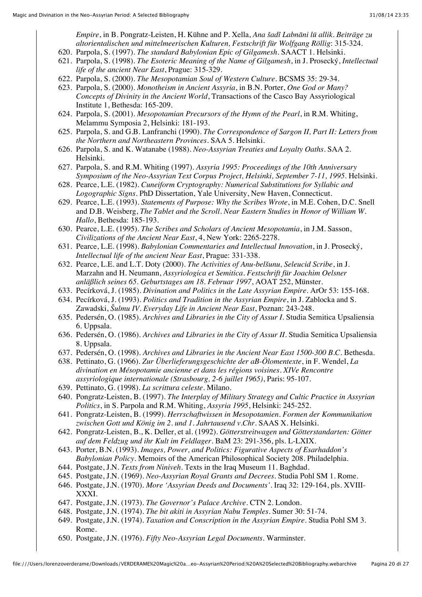*Empire*, in B. Pongratz-Leisten, H. Kühne and P. Xella, *Ana šadî Labnāni lū allik. Beiträge zu altorientalischen und mittelmeerischen Kulturen, Festschrift für Wolfgang Röllig*: 315-324.

- 620. Parpola, S. (1997). *The standard Babylonian Epic of Gilgamesh*. SAACT 1. Helsinki.
- 621. Parpola, S. (1998). *The Esoteric Meaning of the Name of Gilgamesh*, in J. Prosecký, *Intellectual life of the ancient Near East*, Prague: 315-329.
- 622. Parpola, S. (2000). *The Mesopotamian Soul of Western Culture*. BCSMS 35: 29-34.
- 623. Parpola, S. (2000). *Monotheism in Ancient Assyria*, in B.N. Porter, *One God or Many? Concepts of Divinity in the Ancient World*, Transactions of the Casco Bay Assyriological Institute 1, Bethesda: 165-209.
- 624. Parpola, S. (2001). *Mesopotamian Precursors of the Hymn of the Pearl*, in R.M. Whiting, Melammu Symposia 2, Helsinki: 181-193.
- 625. Parpola, S. and G.B. Lanfranchi (1990). *The Correspondence of Sargon II, Part II: Letters from the Northern and Northeastern Provinces*. SAA 5. Helsinki.
- 626. Parpola, S. and K. Watanabe (1988). *Neo-Assyrian Treaties and Loyalty Oaths*. SAA 2. Helsinki.
- 627. Parpola, S. and R.M. Whiting (1997). *Assyria 1995: Proceedings of the 10th Anniversary Symposium of the Neo-Assyrian Text Corpus Project, Helsinki, September 7-11, 1995*. Helsinki.
- 628. Pearce, L.E. (1982). *Cuneiform Cryptography: Numerical Substitutions for Syllabic and Logographic Signs*. PhD Dissertation, Yale University, New Haven, Connecticut.
- 629. Pearce, L.E. (1993). *Statements of Purpose: Why the Scribes Wrote*, in M.E. Cohen, D.C. Snell and D.B. Weisberg, *The Tablet and the Scroll. Near Eastern Studies in Honor of William W. Hallo*, Bethesda: 185-193.
- 630. Pearce, L.E. (1995). *The Scribes and Scholars of Ancient Mesopotamia*, in J.M. Sasson, *Civilizations of the Ancient Near East*, 4, New York: 2265-2278.
- 631. Pearce, L.E. (1998). *Babylonian Commentaries and Intellectual Innovation*, in J. Prosecký, *Intellectual life of the ancient Near East*, Prague: 331-338.
- 632. Pearce, L.E. and L.T. Doty (2000). *The Activities of Anu-belšunu, Seleucid Scribe*, in J. Marzahn and H. Neumann, *Assyriologica et Semitica. Festschrift für Joachim Oelsner anläßlich seines 65. Geburtstages am 18. Februar 1997*, AOAT 252, Münster.
- 633. Pecírková, J. (1985). *Divination and Politics in the Late Assyrian Empire*. ArOr 53: 155-168.
- 634. Pecírková, J. (1993). *Politics and Tradition in the Assyrian Empire*, in J. Zablocka and S. Zawadski, *Šulmu IV. Everyday Life in Ancient Near East*, Poznan: 243-248.
- 635. Pedersén, O. (1985). *Archives and Libraries in the City of Assur I*. Studia Semitica Upsaliensia 6. Uppsala.
- 636. Pedersén, O. (1986). *Archives and Libraries in the City of Assur II*. Studia Semitica Upsaliensia 8. Uppsala.
- 637. Pedersén, O. (1998). *Archives and Libraries in the Ancient Near East 1500-300 B.C.* Bethesda.
- 638. Pettinato, G. (1966). *Zur Überlieferungsgeschichte der aB-Ölomentexte*, in F. Wendel, *La divination en Mésopotamie ancienne et dans les régions voisines. XIVe Rencontre assyriologique internationale (Strasbourg, 2-6 juillet 1965)*, Paris: 95-107.
- 639. Pettinato, G. (1998). *La scrittura celeste*. Milano.
- 640. Pongratz-Leisten, B. (1997). *The Interplay of Military Strategy and Cultic Practice in Assyrian Politics*, in S. Parpola and R.M. Whiting, *Assyria 1995*, Helsinki: 245-252.
- 641. Pongratz-Leisten, B. (1999). *Herrschaftwissen in Mesopotamien. Formen der Kommunikation zwischen Gott und König im 2. und 1. Jahrtausend v.Chr.* SAAS X. Helsinki.
- 642. Pongratz-Leisten, B., K. Deller, et al. (1992). *Götterstreitwagen und Götterstandarten: Götter auf dem Feldzug und ihr Kult im Feldlager*. BaM 23: 291-356, pls. L-LXIX.
- 643. Porter, B.N. (1993). *Images, Power, and Politics: Figurative Aspects of Esarhaddon's Babylonian Policy*. Memoirs of the American Philosophical Society 208. Philadelphia.
- 644. Postgate, J.N. *Texts from Niniveh*. Texts in the Iraq Museum 11. Baghdad.
- 645. Postgate, J.N. (1969). *Neo-Assyrian Royal Grants and Decrees*. Studia Pohl SM 1. Rome.
- 646. Postgate, J.N. (1970). *More 'Assyrian Deeds and Documents'*. Iraq 32: 129-164, pls. XVIII-XXXI.
- 647. Postgate, J.N. (1973). *The Governor's Palace Archive*. CTN 2. London.
- 648. Postgate, J.N. (1974). *The bit akiti in Assyrian Nabu Temples*. Sumer 30: 51-74.
- 649. Postgate, J.N. (1974). *Taxation and Conscription in the Assyrian Empire*. Studia Pohl SM 3. Rome.
- 650. Postgate, J.N. (1976). *Fifty Neo-Assyrian Legal Documents*. Warminster.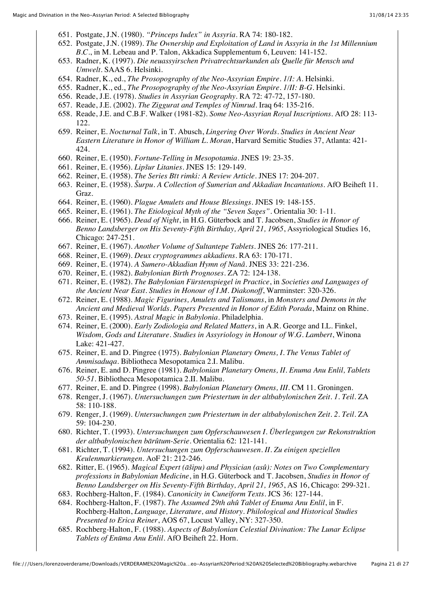- 651. Postgate, J.N. (1980). *"Princeps Iudex" in Assyria*. RA 74: 180-182.
- 652. Postgate, J.N. (1989). *The Ownership and Exploitation of Land in Assyria in the 1st Millennium B.C.*, in M. Lebeau and P. Talon, Akkadica Supplementum 6, Leuven: 141-152.
- 653. Radner, K. (1997). *Die neuassyirschen Privatrechtsurkunden als Quelle für Mensch und Umwelt*. SAAS 6. Helsinki.
- 654. Radner, K., ed., *The Prosopography of the Neo-Assyrian Empire. 1/I: A*. Helsinki.
- 655. Radner, K., ed., *The Prosopography of the Neo-Assyrian Empire. 1/II: B-G*. Helsinki.
- 656. Reade, J.E. (1978). *Studies in Assyrian Geography*. RA 72: 47-72, 157-180.
- 657. Reade, J.E. (2002). *The Ziggurat and Temples of Nimrud*. Iraq 64: 135-216.
- 658. Reade, J.E. and C.B.F. Walker (1981-82). *Some Neo-Assyrian Royal Inscriptions*. AfO 28: 113- 122.
- 659. Reiner, E. *Nocturnal Talk*, in T. Abusch, *Lingering Over Words. Studies in Ancient Near Eastern Literature in Honor of William L. Moran*, Harvard Semitic Studies 37, Atlanta: 421- 424.
- 660. Reiner, E. (1950). *Fortune-Telling in Mesopotamia*. JNES 19: 23-35.
- 661. Reiner, E. (1956). *Lipšur Litanies*. JNES 15: 129-149.
- 662. Reiner, E. (1958). *The Series Bīt rimki: A Review Article*. JNES 17: 204-207.
- 663. Reiner, E. (1958). *Šurpu. A Collection of Sumerian and Akkadian Incantations*. AfO Beiheft 11. Graz.
- 664. Reiner, E. (1960). *Plague Amulets and House Blessings*. JNES 19: 148-155.
- 665. Reiner, E. (1961). *The Etiological Myth of the "Seven Sages"*. Orientalia 30: 1-11.
- 666. Reiner, E. (1965). *Dead of Night*, in H.G. Güterbock and T. Jacobsen, *Studies in Honor of Benno Landsberger on His Seventy-Fifth Birthday, April 21, 1965*, Assyriological Studies 16, Chicago: 247-251.
- 667. Reiner, E. (1967). *Another Volume of Sultantepe Tablets*. JNES 26: 177-211.
- 668. Reiner, E. (1969). *Deux cryptogrammes akkadiens*. RA 63: 170-171.
- 669. Reiner, E. (1974). *A Sumero-Akkadian Hymn of Nanâ*. JNES 33: 221-236.
- 670. Reiner, E. (1982). *Babylonian Birth Prognoses*. ZA 72: 124-138.
- 671. Reiner, E. (1982). *The Babylonian Fürstenspiegel in Practice*, in *Societies and Languages of the Ancient Near East. Studies in Honour of I.M. Diakonoff*, Warminster: 320-326.
- 672. Reiner, E. (1988). *Magic Figurines, Amulets and Talismans*, in *Monsters and Demons in the Ancient and Medieval Worlds. Papers Presented in Honor of Edith Porada*, Mainz on Rhine.
- 673. Reiner, E. (1995). *Astral Magic in Babylonia*. Philadelphia.
- 674. Reiner, E. (2000). *Early Zodiologia and Related Matters*, in A.R. George and I.L. Finkel, *Wisdom, Gods and Literature. Studies in Assyriology in Honour of W.G. Lambert*, Winona Lake: 421-427.
- 675. Reiner, E. and D. Pingree (1975). *Babylonian Planetary Omens, I. The Venus Tablet of Ammisaduqa*. Bibliotheca Mesopotamica 2.I. Malibu.
- 676. Reiner, E. and D. Pingree (1981). *Babylonian Planetary Omens, II. Enuma Anu Enlil, Tablets 50-51*. Bibliotheca Mesopotamica 2.II. Malibu.
- 677. Reiner, E. and D. Pingree (1998). *Babylonian Planetary Omens, III*. CM 11. Groningen.
- 678. Renger, J. (1967). *Untersuchungen zum Priestertum in der altbabylonischen Zeit. 1. Teil*. ZA 58: 110-188.
- 679. Renger, J. (1969). *Untersuchungen zum Priestertum in der altbabylonischen Zeit. 2. Teil*. ZA 59: 104-230.
- 680. Richter, T. (1993). *Untersuchungen zum Opferschauwesen I. Überlegungen zur Rekonstruktion der altbabylonischen bārûtum-Serie*. Orientalia 62: 121-141.
- 681. Richter, T. (1994). *Untersuchungen zum Opferschauwesen. II. Zu einigen speziellen Keulenmarkierungen*. AoF 21: 212-246.
- 682. Ritter, E. (1965). *Magical Expert (āšipu) and Physician (asû): Notes on Two Complementary professions in Babylonian Medicine*, in H.G. Güterbock and T. Jacobsen, *Studies in Honor of Benno Landsberger on His Seventy-Fifth Birthday, April 21, 1965*, AS 16, Chicago: 299-321.
- 683. Rochberg-Halton, F. (1984). *Canonicity in Cuneiform Texts*. JCS 36: 127-144.
- 684. Rochberg-Halton, F. (1987). *The Assumed 29th ahû Tablet of Enuma Anu Enlil*, in F. Rochberg-Halton, *Language, Literature, and History. Philological and Historical Studies Presented to Erica Reiner*, AOS 67, Locust Valley, NY: 327-350.
- 685. Rochberg-Halton, F. (1988). *Aspects of Babylonian Celestial Divination: The Lunar Eclipse Tablets of Enūma Anu Enlil*. AfO Beiheft 22. Horn.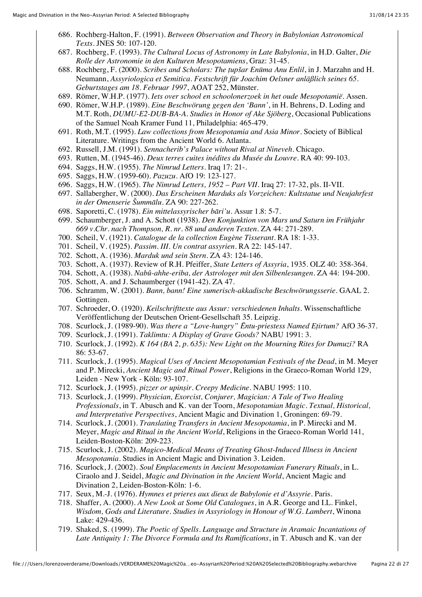- 686. Rochberg-Halton, F. (1991). *Between Observation and Theory in Babylonian Astronomical Texts*. JNES 50: 107-120.
- 687. Rochberg, F. (1993). *The Cultural Locus of Astronomy in Late Babylonia*, in H.D. Galter, *Die Rolle der Astronomie in den Kulturen Mesopotamiens*, Graz: 31-45.
- 688. Rochberg, F. (2000). *Scribes and Scholars: The ṭupšar Enūma Anu Enlil*, in J. Marzahn and H. Neumann, *Assyriologica et Semitica. Festschrift für Joachim Oelsner anläßlich seines 65. Geburtstages am 18. Februar 1997*, AOAT 252, Münster.
- 689. Römer, W.H.P. (1977). *Iets over school en schoolonerzoek in het oude Mesopotamië*. Assen.
- 690. Römer, W.H.P. (1989). *Eine Beschwörung gegen den 'Bann'*, in H. Behrens, D. Loding and M.T. Roth, *DUMU-E2-DUB-BA-A. Studies in Honor of Ake Sjöberg*, Occasional Publications of the Samuel Noah Kramer Fund 11, Philadelphia: 465-479.
- 691. Roth, M.T. (1995). *Law collections from Mesopotamia and Asia Minor*. Society of Biblical Literature. Writings from the Ancient World 6. Atlanta.
- 692. Russell, J.M. (1991). *Sennacherib's Palace without Rival at Nineveh*. Chicago.
- 693. Rutten, M. (1945-46). *Deux terres cuites inédites du Musée du Louvre*. RA 40: 99-103.
- 694. Saggs, H.W. (1955). *The Nimrud Letters*. Iraq 17: 21-.
- 695. Saggs, H.W. (1959-60). *Pazuzu*. AfO 19: 123-127.
- 696. Saggs, H.W. (1965). *The Nimrud Letters, 1952 Part VII*. Iraq 27: 17-32, pls. II-VII.
- 697. Sallabergher, W. (2000). *Das Erscheinen Marduks als Vorzeichen: Kultstatue und Neujahrfest in der Omenserie Šummālu*. ZA 90: 227-262.
- 698. Saporetti, C. (1978). *Ein mittelassyrischer bāri'u*. Assur 1.8: 5-7.
- 699. Schaumberger, J. and A. Schott (1938). *Den Konjunktion von Mars und Saturn im Frühjahr 669 v.Chr. nach Thompson, R. nr. 88 und anderen Texten*. ZA 44: 271-289.
- 700. Scheil, V. (1921). *Catalogue de la collection Eugène Tisserant*. RA 18: 1-33.
- 701. Scheil, V. (1925). *Passim. III. Un contrat assyrien*. RA 22: 145-147.
- 702. Schott, A. (1936). *Marduk und sein Stern*. ZA 43: 124-146.
- 703. Schott, A. (1937). Review of R.H. Pfeiffer, *State Letters of Assyria*, 1935. OLZ 40: 358-364.
- 704. Schott, A. (1938). *Nabû-ahhe-eriba, der Astrologer mit den Silbenlesungen*. ZA 44: 194-200.
- 705. Schott, A. and J. Schaumberger (1941-42). ZA 47.
- 706. Schramm, W. (2001). *Bann, bann! Eine sumerisch-akkadische Beschwörungsserie*. GAAL 2. Gottingen.
- 707. Schroeder, O. (1920). *Keilschrifttexte aus Assur: verschiedenen Inhalts*. Wissenschaftliche Veröffentlichung der Deutschen Orient-Gesellschaft 35. Leipzig.
- 708. Scurlock, J. (1989-90). *Was there a "Love-hungry" Ēntu-priestess Named Eṭirtum?* AfO 36-37.
- 709. Scurlock, J. (1991). *Taklimtu: A Display of Grave Goods?* NABU 1991: 3.
- 710. Scurlock, J. (1992). *K 164 (BA 2, p. 635): New Light on the Mourning Rites for Dumuzi?* RA 86: 53-67.
- 711. Scurlock, J. (1995). *Magical Uses of Ancient Mesopotamian Festivals of the Dead*, in M. Meyer and P. Mirecki, *Ancient Magic and Ritual Power*, Religions in the Graeco-Roman World 129, Leiden - New York - Köln: 93-107.
- 712. Scurlock, J. (1995). *pizzer or upinṣir. Creepy Medicine*. NABU 1995: 110.
- 713. Scurlock, J. (1999). *Physician, Exorcist, Conjurer, Magician: A Tale of Two Healing Professionals*, in T. Abusch and K. van der Toorn, *Mesopotamian Magic. Textual, Historical, and Interpretative Perspectives*, Ancient Magic and Divination 1, Groningen: 69-79.
- 714. Scurlock, J. (2001). *Translating Transfers in Ancient Mesopotamia*, in P. Mirecki and M. Meyer, *Magic and Ritual in the Ancient World*, Religions in the Graeco-Roman World 141, Leiden-Boston-Köln: 209-223.
- 715. Scurlock, J. (2002). *Magico-Medical Means of Treating Ghost-Induced Illness in Ancient Mesopotamia*. Studies in Ancient Magic and Divination 3. Leiden.
- 716. Scurlock, J. (2002). *Soul Emplacements in Ancient Mesopotamian Funerary Rituals*, in L. Ciraolo and J. Seidel, *Magic and Divination in the Ancient World*, Ancient Magic and Divination 2, Leiden-Boston-Köln: 1-6.
- 717. Seux, M.-J. (1976). *Hymnes et prieres aux dieux de Babylonie et d'Assyrie*. Paris.
- 718. Shaffer, A. (2000). *A New Look at Some Old Catalogues*, in A.R. George and I.L. Finkel, *Wisdom, Gods and Literature. Studies in Assyriology in Honour of W.G. Lambert*, Winona Lake: 429-436.
- 719. Shaked, S. (1999). *The Poetic of Spells. Language and Structure in Aramaic Incantations of Late Antiquity 1: The Divorce Formula and Its Ramifications*, in T. Abusch and K. van der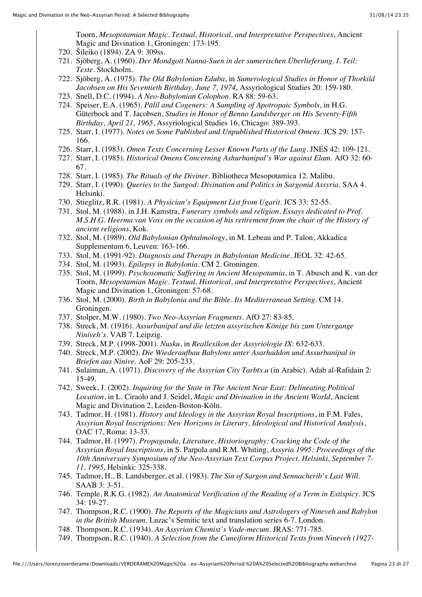Toorn, *Mesopotamian Magic. Textual, Historical, and Interpretative Perspectives*, Ancient Magic and Divination 1, Groningen: 173-195.

- 720. Šileiko (1894). ZA 9: 309ss.
- 721. Sjöberg, A. (1960). *Der Mondgott Nanna-Suen in der sumerischen Überlieferung. I. Teil: Texte*. Stockholm.
- 722. Sjöberg, A. (1975). *The Old Babylonian Eduba*, in *Sumerological Studies in Honor of Thorkild Jacobsen on His Seventieth Birthday, June 7, 1974*, Assyriological Studies 20: 159-180.
- 723. Snell, D.C. (1994). *A Neo-Babylonian Colophon*. RA 88: 59-63.
- 724. Speiser, E.A. (1965). *Pālil and Cogeners: A Sampling of Apotropaic Symbols*, in H.G. Güterbock and T. Jacobsen, *Studies in Honor of Benno Landsberger on His Seventy-Fifth Birthday, April 21, 1965*, Assyriological Studies 16, Chicago: 389-393.
- 725. Starr, I. (1977). *Notes on Some Published and Unpublished Historical Omens*. JCS 29: 157- 166.
- 726. Starr, I. (1983). *Omen Texts Concerning Lesser Known Parts of the Lung*. JNES 42: 109-121.
- 727. Starr, I. (1985). *Historical Omens Concerning Ashurbanipal's War against Elam*. AfO 32: 60- 67.
- 728. Starr, I. (1985). *The Rituals of the Diviner*. Bibliotheca Mesopotamica 12. Malibu.
- 729. Starr, I. (1990). *Queries to the Sungod: Divination and Politics in Sargonid Assyria*. SAA 4. Helsinki.
- 730. Stieglitz, R.R. (1981). *A Physician's Equipment List from Ugarit*. JCS 33: 52-55.
- 731. Stol, M. (1988). in J.H. Kamstra, *Funerary symbols and religion. Essays dedicated to Prof. M.S.H.G. Heerma van Voss on the occasion of his retirement from the chair of the History of ancient religions*, Kok.
- 732. Stol, M. (1989). *Old Babylonian Ophtalmology*, in M. Lebeau and P. Talon, Akkadica Supplementum 6, Leuven: 163-166.
- 733. Stol, M. (1991-92). *Diagnosis and Therapy in Babylonian Medicine*. JEOL 32: 42-65.
- 734. Stol, M. (1993). *Epilepsy in Babylonia*. CM 2. Groningen.
- 735. Stol, M. (1999). *Psychosomatic Suffering in Ancient Mesopotamia*, in T. Abusch and K. van der Toorn, *Mesopotamian Magic. Textual, Historical, and Interpretative Perspectives*, Ancient Magic and Divination 1, Groningen: 57-68.
- 736. Stol, M. (2000). *Birth in Babylonia and the Bible. Its Mediterranean Setting*. CM 14. Groningen.
- 737. Stolper, M.W. (1980). *Two Neo-Assyrian Fragments*. AfO 27: 83-85.
- 738. Streck, M. (1916). *Assurbanipal und die letzten assyrischen Könige bis zum Untergange Niniveh's*. VAB 7. Leipzig.
- 739. Streck, M.P. (1998-2001). *Nusku*, in *Reallexikon der Assyriologie IX*: 632-633.
- 740. Streck, M.P. (2002). *Die Wiederaufbau Babylons unter Asarhaddon und Assurbanipal in Briefen aus Ninive*. AoF 29: 205-233.
- 741. Sulaiman, A. (1971). *Discovery of the Assyrian City Tarbīs.u* (in Arabic). Adab al-Rafidain 2: 15-49.
- 742. Sweek, J. (2002). *Inquiring for the State in The Ancient Near East: Delineating Political Location*, in L. Ciraolo and J. Seidel, *Magic and Divination in the Ancient World*, Ancient Magic and Divination 2, Leiden-Boston-Köln.
- 743. Tadmor, H. (1981). *History and Ideology in the Assyrian Royal Inscriptions*, in F.M. Fales, *Assyrian Royal Inscriptions: New Horizons in Literary, Ideological and Historical Analysis*, OAC 17, Roma: 13-33.
- 744. Tadmor, H. (1997). *Propaganda, Literature, Historiography: Cracking the Code of the Assyrian Royal Inscriptions*, in S. Parpola and R.M. Whiting, *Assyria 1995: Proceedings of the 10th Anniversary Symposium of the Neo-Assyrian Text Corpus Project, Helsinki, September 7- 11, 1995*, Helsinki: 325-338.
- 745. Tadmor, H., B. Landsberger, et al. (1983). *The Sin of Sargon and Sennacherib's Last Will*. SAAB 3: 3-51.
- 746. Temple, R.K.G. (1982). *An Anatomical Verification of the Reading of a Term in Extispicy*. JCS 34: 19-27.
- 747. Thompson, R.C. (1900). *The Reports of the Magicians and Astrologers of Nineveh and Babylon in the British Museum*. Luzac's Semitic text and translation series 6-7. London.
- 748. Thompson, R.C. (1934). *An Assyrian Chemist's Vade-mecum*. JRAS: 771-785.
- 749. Thompson, R.C. (1940). *A Selection from the Cuneiform Historical Texts from Nineveh (1927-*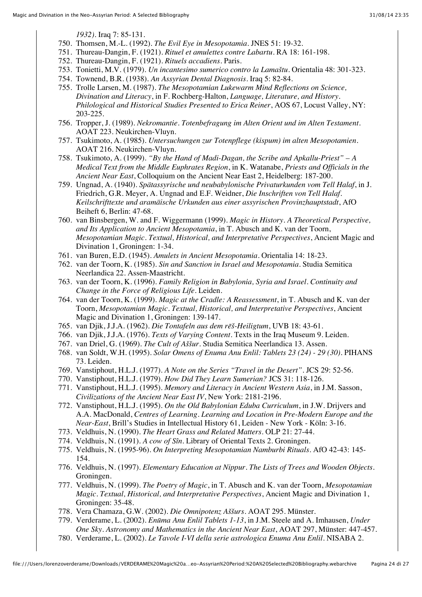*1932)*. Iraq 7: 85-131.

- 750. Thomsen, M.-L. (1992). *The Evil Eye in Mesopotamia*. JNES 51: 19-32.
- 751. Thureau-Dangin, F. (1921). *Rituel et amulettes contre Labartu*. RA 18: 161-198.
- 752. Thureau-Dangin, F. (1921). *Rituels accadiens*. Paris.
- 753. Tonietti, M.V. (1979). *Un incantesimo sumerico contro la Lamaštu*. Orientalia 48: 301-323.
- 754. Townend, B.R. (1938). *An Assyrian Dental Diagnosis*. Iraq 5: 82-84.
- 755. Trolle Larsen, M. (1987). *The Mesopotamian Lukewarm Mind Reflections on Science, Divination and Literacy*, in F. Rochberg-Halton, *Language, Literature, and History. Philological and Historical Studies Presented to Erica Reiner*, AOS 67, Locust Valley, NY: 203-225.
- 756. Tropper, J. (1989). *Nekromantie. Totenbefragung im Alten Orient und im Alten Testament*. AOAT 223. Neukirchen-Vluyn.
- 757. Tsukimoto, A. (1985). *Untersuchungen zur Totenpflege (kispum) im alten Mesopotamien*. AOAT 216. Neukirchen-Vluyn.
- 758. Tsukimoto, A. (1999). *"By the Hand of Madi-Dagan, the Scribe and Apkallu-Priest" A Medical Text from the Middle Euphrates Region*, in K. Watanabe, *Priests and Officials in the Ancient Near East*, Colloquium on the Ancient Near East 2, Heidelberg: 187-200.
- 759. Ungnad, A. (1940). *Spätassyrische und neubabylonische Privaturkunden vom Tell Halaf*, in J. Friedrich, G.R. Meyer, A. Ungnad and E.F. Weidner, *Die Inschriften von Tell Halaf. Keilschrifttexte und aramäische Urkunden aus einer assyrischen Provinzhauptstadt*, AfO Beiheft 6, Berlin: 47-68.
- 760. van Binsbergen, W. and F. Wiggermann (1999). *Magic in History. A Theoretical Perspective, and Its Application to Ancient Mesopotamia*, in T. Abusch and K. van der Toorn, *Mesopotamian Magic. Textual, Historical, and Interpretative Perspectives*, Ancient Magic and Divination 1, Groningen: 1-34.
- 761. van Buren, E.D. (1945). *Amulets in Ancient Mesopotamia*. Orientalia 14: 18-23.
- 762. van der Toorn, K. (1985). *Sin and Sanction in Israel and Mesopotamia*. Studia Semitica Neerlandica 22. Assen-Maastricht.
- 763. van der Toorn, K. (1996). *Family Religion in Babylonia, Syria and Israel. Continuity and Change in the Force of Religious Life*. Leiden.
- 764. van der Toorn, K. (1999). *Magic at the Cradle: A Reassessment*, in T. Abusch and K. van der Toorn, *Mesopotamian Magic. Textual, Historical, and Interpretative Perspectives*, Ancient Magic and Divination 1, Groningen: 139-147.
- 765. van Djik, J.J.A. (1962). *Die Tontafeln aus dem rēš-Heiligtum*, UVB 18: 43-61.
- 766. van Djik, J.J.A. (1976). *Texts of Varying Content*. Texts in the Iraq Museum 9. Leiden.
- 767. van Driel, G. (1969). *The Cult of Aššur*. Studia Semitica Neerlandica 13. Assen.
- 768. van Soldt, W.H. (1995). *Solar Omens of Enuma Anu Enlil: Tablets 23 (24) 29 (30)*. PIHANS 73. Leiden.
- 769. Vanstiphout, H.L.J. (1977). *A Note on the Series "Travel in the Desert"*. JCS 29: 52-56.
- 770. Vanstiphout, H.L.J. (1979). *How Did They Learn Sumerian?* JCS 31: 118-126.
- 771. Vanstiphout, H.L.J. (1995). *Memory and Literacy in Ancient Western Asia*, in J.M. Sasson, *Civilizations of the Ancient Near East IV*, New York: 2181-2196.
- 772. Vanstiphout, H.L.J. (1995). *On the Old Babylonian Eduba Curriculum*, in J.W. Drijvers and A.A. MacDonald, *Centres of Learning. Learning and Location in Pre-Modern Europe and the Near-East*, Brill's Studies in Intellectual History 61, Leiden - New York - Köln: 3-16.
- 773. Veldhuis, N. (1990). *The Heart Grass and Related Matters*. OLP 21: 27-44.
- 774. Veldhuis, N. (1991). *A cow of Sîn*. Library of Oriental Texts 2. Groningen.
- 775. Veldhuis, N. (1995-96). *On Interpreting Mesopotamian Namburbi Rituals*. AfO 42-43: 145- 154.
- 776. Veldhuis, N. (1997). *Elementary Education at Nippur. The Lists of Trees and Wooden Objects*. Groningen.
- 777. Veldhuis, N. (1999). *The Poetry of Magic*, in T. Abusch and K. van der Toorn, *Mesopotamian Magic. Textual, Historical, and Interpretative Perspectives*, Ancient Magic and Divination 1, Groningen: 35-48.
- 778. Vera Chamaza, G.W. (2002). *Die Omnipotenz Aššurs*. AOAT 295. Münster.
- 779. Verderame, L. (2002). *Enūma Anu Enlil Tablets 1-13*, in J.M. Steele and A. Imhausen, *Under One Sky. Astronomy and Mathematics in the Ancient Near East*, AOAT 297, Münster: 447-457.
- 780. Verderame, L. (2002). *Le Tavole I-VI della serie astrologica Enuma Anu Enlil*. NISABA 2.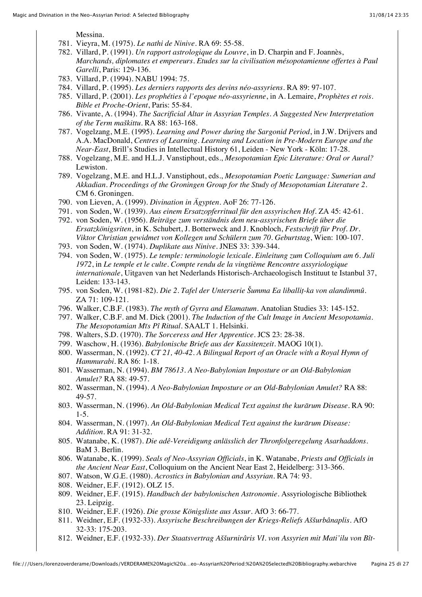Messina.

- 781. Vieyra, M. (1975). *Le nathi de Ninive*. RA 69: 55-58.
- 782. Villard, P. (1991). *Un rapport astrologique du Louvre*, in D. Charpin and F. Joannès, *Marchands, diplomates et empereurs. Etudes sur la civilisation mésopotamienne offertes à Paul Garelli*, Paris: 129-136.
- 783. Villard, P. (1994). NABU 1994: 75.
- 784. Villard, P. (1995). *Les derniers rapports des devins néo-assyriens*. RA 89: 97-107.
- 785. Villard, P. (2001). *Les prophéties à l'epoque néo-assyrienne*, in A. Lemaire, *Prophètes et rois. Bible et Proche-Orient*, Paris: 55-84.
- 786. Vivante, A. (1994). *The Sacrificial Altar in Assyrian Temples. A Suggested New Interpretation of the Term maškittu*. RA 88: 163-168.
- 787. Vogelzang, M.E. (1995). *Learning and Power during the Sargonid Period*, in J.W. Drijvers and A.A. MacDonald, *Centres of Learning. Learning and Location in Pre-Modern Europe and the Near-East*, Brill's Studies in Intellectual History 61, Leiden - New York - Köln: 17-28.
- 788. Vogelzang, M.E. and H.L.J. Vanstiphout, eds., *Mesopotamian Epic Literature: Oral or Aural?* Lewiston.
- 789. Vogelzang, M.E. and H.L.J. Vanstiphout, eds., *Mesopotamian Poetic Language: Sumerian and Akkadian. Proceedings of the Groningen Group for the Study of Mesopotamian Literature 2*. CM 6. Groningen.
- 790. von Lieven, A. (1999). *Divination in Ägypten*. AoF 26: 77-126.
- 791. von Soden, W. (1939). *Aus einem Ersatzopferritual für den assyrischen Hof*. ZA 45: 42-61.
- 792. von Soden, W. (1956). *Beiträge zum verständnis dem neu-assyrischen Briefe über die Ersatzkönigsriten*, in K. Schubert, J. Botterweck and J. Knobloch, *Festschrift für Prof. Dr. Viktor Christian gewidmet von Kollegen und Schülern zum 70. Geburtstag*, Wien: 100-107.
- 793. von Soden, W. (1974). *Duplikate aus Ninive*. JNES 33: 339-344.
- 794. von Soden, W. (1975). *Le temple: terminologie lexicale. Einleitung zum Colloquium am 6. Juli 1972*, in *Le temple et le culte. Compte rendu de la vingtième Rencontre assyriologique internationale*, Uitgaven van het Nederlands Historisch-Archaeologisch Instituut te Istanbul 37, Leiden: 133-143.
- 795. von Soden, W. (1981-82). *Die 2. Tafel der Unterserie Šumma Ea liballiṭ-ka von alandimmû*. ZA 71: 109-121.
- 796. Walker, C.B.F. (1983). *The myth of Gyrra and Elamatum*. Anatolian Studies 33: 145-152.
- 797. Walker, C.B.F. and M. Dick (2001). *The Induction of the Cult Image in Ancient Mesopotamia. The Mesopotamian Mīs Pî Ritual*. SAALT 1. Helsinki.
- 798. Walters, S.D. (1970). *The Sorceress and Her Apprentice*. JCS 23: 28-38.
- 799. Waschow, H. (1936). *Babylonische Briefe aus der Kassitenzeit*. MAOG 10(1).
- 800. Wasserman, N. (1992). *CT 21, 40-42. A Bilingual Report of an Oracle with a Royal Hymn of Hammurabi*. RA 86: 1-18.
- 801. Wasserman, N. (1994). *BM 78613. A Neo-Babylonian Imposture or an Old-Babylonian Amulet?* RA 88: 49-57.
- 802. Wasserman, N. (1994). *A Neo-Babylonian Imposture or an Old-Babylonian Amulet?* RA 88: 49-57.
- 803. Wasserman, N. (1996). *An Old-Babylonian Medical Text against the kurārum Disease*. RA 90: 1-5.
- 804. Wasserman, N. (1997). *An Old-Babylonian Medical Text against the kurārum Disease: Addition*. RA 91: 31-32.
- 805. Watanabe, K. (1987). *Die adê-Vereidigung anlässlich der Thronfolgeregelung Asarhaddons*. BaM 3. Berlin.
- 806. Watanabe, K. (1999). *Seals of Neo-Assyrian Officials*, in K. Watanabe, *Priests and Officials in the Ancient Near East*, Colloquium on the Ancient Near East 2, Heidelberg: 313-366.
- 807. Watson, W.G.E. (1980). *Acrostics in Babylonian and Assyrian*. RA 74: 93.
- 808. Weidner, E.F. (1912). OLZ 15.
- 809. Weidner, E.F. (1915). *Handbuch der babylonischen Astronomie*. Assyriologische Bibliothek 23. Leipzig.
- 810. Weidner, E.F. (1926). *Die grosse Königsliste aus Assur*. AfO 3: 66-77.
- 811. Weidner, E.F. (1932-33). *Assyrische Beschreibungen der Kriegs-Reliefs Aššurbânaplis*. AfO 32-33: 175-203.
- 812. Weidner, E.F. (1932-33). *Der Staatsvertrag Aššurnirâris VI. von Assyrien mit Mati'ilu von Bît-*